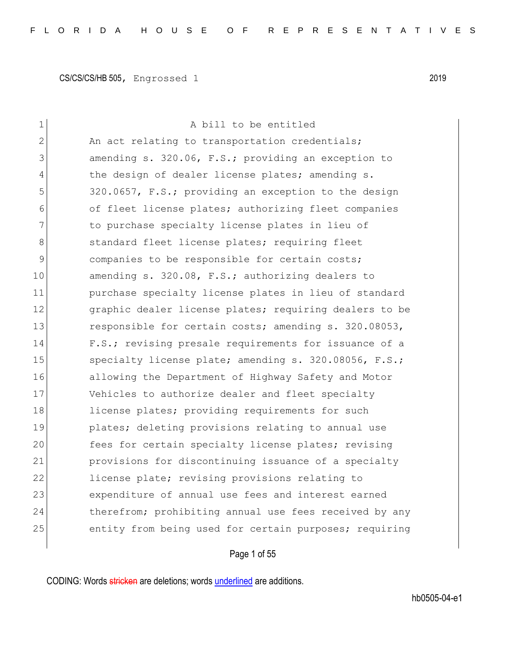| $\mathbf 1$   | A bill to be entitled                                  |
|---------------|--------------------------------------------------------|
| 2             | An act relating to transportation credentials;         |
| 3             | amending s. 320.06, F.S.; providing an exception to    |
| 4             | the design of dealer license plates; amending s.       |
| 5             | 320.0657, F.S.; providing an exception to the design   |
| 6             | of fleet license plates; authorizing fleet companies   |
| 7             | to purchase specialty license plates in lieu of        |
| 8             | standard fleet license plates; requiring fleet         |
| $\mathcal{G}$ | companies to be responsible for certain costs;         |
| 10            | amending s. 320.08, F.S.; authorizing dealers to       |
| 11            | purchase specialty license plates in lieu of standard  |
| 12            | graphic dealer license plates; requiring dealers to be |
| 13            | responsible for certain costs; amending s. 320.08053,  |
| 14            | F.S.; revising presale requirements for issuance of a  |
| 15            | specialty license plate; amending s. 320.08056, F.S.;  |
| 16            | allowing the Department of Highway Safety and Motor    |
| 17            | Vehicles to authorize dealer and fleet specialty       |
| 18            | license plates; providing requirements for such        |
| 19            | plates; deleting provisions relating to annual use     |
| 20            | fees for certain specialty license plates; revising    |
| 21            | provisions for discontinuing issuance of a specialty   |
| 22            | license plate; revising provisions relating to         |
| 23            | expenditure of annual use fees and interest earned     |
| 24            | therefrom; prohibiting annual use fees received by any |
| 25            | entity from being used for certain purposes; requiring |
|               |                                                        |

# Page 1 of 55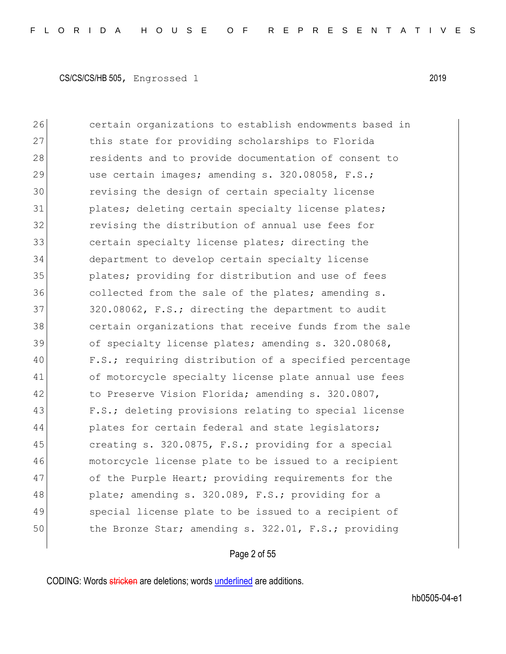26 certain organizations to establish endowments based in 27 this state for providing scholarships to Florida 28 residents and to provide documentation of consent to 29 use certain images; amending s. 320.08058, F.S.; 30 revising the design of certain specialty license 31 plates; deleting certain specialty license plates; 32 revising the distribution of annual use fees for 33 certain specialty license plates; directing the 34 department to develop certain specialty license 35 plates; providing for distribution and use of fees 36 collected from the sale of the plates; amending s. 37 320.08062, F.S.; directing the department to audit 38 certain organizations that receive funds from the sale 39 of specialty license plates; amending s. 320.08068, 40 F.S.; requiring distribution of a specified percentage 41 of motorcycle specialty license plate annual use fees 42 to Preserve Vision Florida; amending s. 320.0807, 43 F.S.; deleting provisions relating to special license 44 plates for certain federal and state legislators; 45 creating s. 320.0875, F.S.; providing for a special 46 motorcycle license plate to be issued to a recipient 47 of the Purple Heart; providing requirements for the 48 plate; amending s. 320.089, F.S.; providing for a 49 Special license plate to be issued to a recipient of 50 the Bronze Star; amending s. 322.01, F.S.; providing

#### Page 2 of 55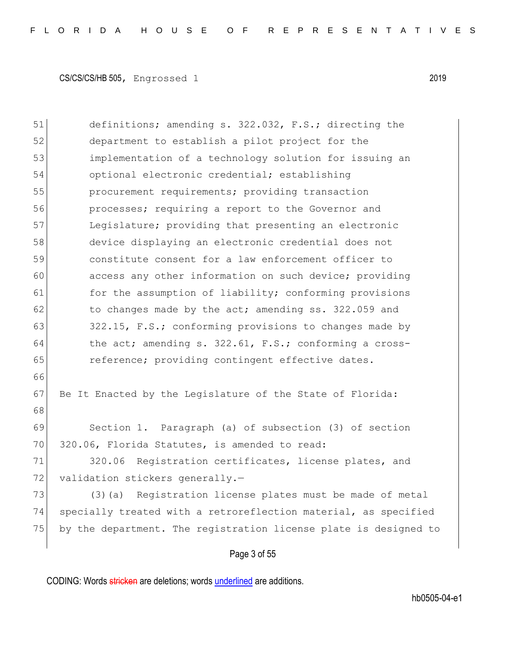Page 3 of 55 51 definitions; amending s. 322.032, F.S.; directing the 52 department to establish a pilot project for the 53 implementation of a technology solution for issuing an 54 optional electronic credential; establishing 55 procurement requirements; providing transaction 56 **processes;** requiring a report to the Governor and 57 Legislature; providing that presenting an electronic 58 device displaying an electronic credential does not 59 constitute consent for a law enforcement officer to 60 access any other information on such device; providing 61 for the assumption of liability; conforming provisions  $62$  to changes made by the act; amending ss. 322.059 and 63 322.15, F.S.; conforming provisions to changes made by  $64$  the act; amending s. 322.61, F.S.; conforming a cross-65 reference; providing contingent effective dates. 66 67 Be It Enacted by the Legislature of the State of Florida: 68 69 Section 1. Paragraph (a) of subsection (3) of section 70 320.06, Florida Statutes, is amended to read: 71 320.06 Registration certificates, license plates, and 72 validation stickers generally.-73 (3)(a) Registration license plates must be made of metal 74 specially treated with a retroreflection material, as specified 75 by the department. The registration license plate is designed to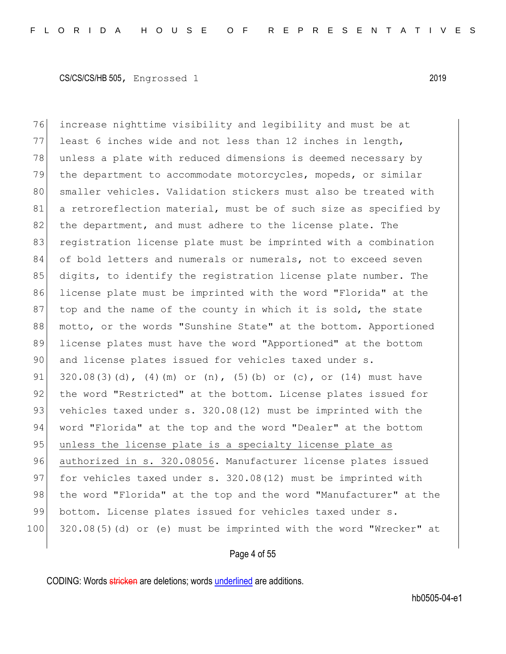76 increase nighttime visibility and legibility and must be at 77 least 6 inches wide and not less than 12 inches in length, 78 unless a plate with reduced dimensions is deemed necessary by 79 the department to accommodate motorcycles, mopeds, or similar 80 smaller vehicles. Validation stickers must also be treated with 81 a retroreflection material, must be of such size as specified by 82 the department, and must adhere to the license plate. The 83 registration license plate must be imprinted with a combination 84 of bold letters and numerals or numerals, not to exceed seven 85 digits, to identify the registration license plate number. The 86 license plate must be imprinted with the word "Florida" at the 87 top and the name of the county in which it is sold, the state 88 | motto, or the words "Sunshine State" at the bottom. Apportioned 89 license plates must have the word "Apportioned" at the bottom 90 and license plates issued for vehicles taxed under s. 91  $320.08(3)(d)$ , (4)(m) or (n), (5)(b) or (c), or (14) must have 92 the word "Restricted" at the bottom. License plates issued for 93 vehicles taxed under s. 320.08(12) must be imprinted with the 94 word "Florida" at the top and the word "Dealer" at the bottom 95 unless the license plate is a specialty license plate as 96 authorized in s. 320.08056. Manufacturer license plates issued 97 for vehicles taxed under s. 320.08(12) must be imprinted with 98 the word "Florida" at the top and the word "Manufacturer" at the 99 bottom. License plates issued for vehicles taxed under s. 100 320.08(5)(d) or (e) must be imprinted with the word "Wrecker" at

#### Page 4 of 55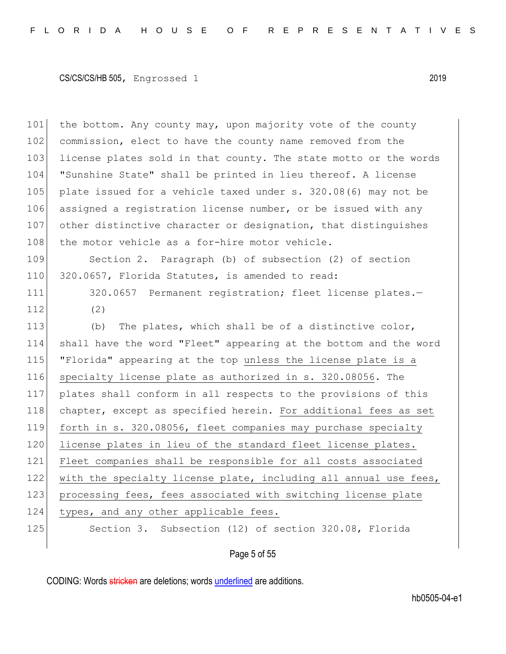101 the bottom. Any county may, upon majority vote of the county 102 commission, elect to have the county name removed from the 103 license plates sold in that county. The state motto or the words 104 "Sunshine State" shall be printed in lieu thereof. A license 105 plate issued for a vehicle taxed under s. 320.08(6) may not be 106 assigned a registration license number, or be issued with any 107 other distinctive character or designation, that distinguishes 108 the motor vehicle as a for-hire motor vehicle.

109 Section 2. Paragraph (b) of subsection (2) of section 110 320.0657, Florida Statutes, is amended to read:

111 320.0657 Permanent registration; fleet license plates.-112 (2)

113  $\vert$  (b) The plates, which shall be of a distinctive color, 114 shall have the word "Fleet" appearing at the bottom and the word 115 "Florida" appearing at the top unless the license plate is a 116 specialty license plate as authorized in s. 320.08056. The 117 plates shall conform in all respects to the provisions of this 118 chapter, except as specified herein. For additional fees as set 119 forth in s. 320.08056, fleet companies may purchase specialty 120 license plates in lieu of the standard fleet license plates. 121 Fleet companies shall be responsible for all costs associated 122 with the specialty license plate, including all annual use fees, 123 processing fees, fees associated with switching license plate 124 types, and any other applicable fees. 125 Section 3. Subsection (12) of section 320.08, Florida

## Page 5 of 55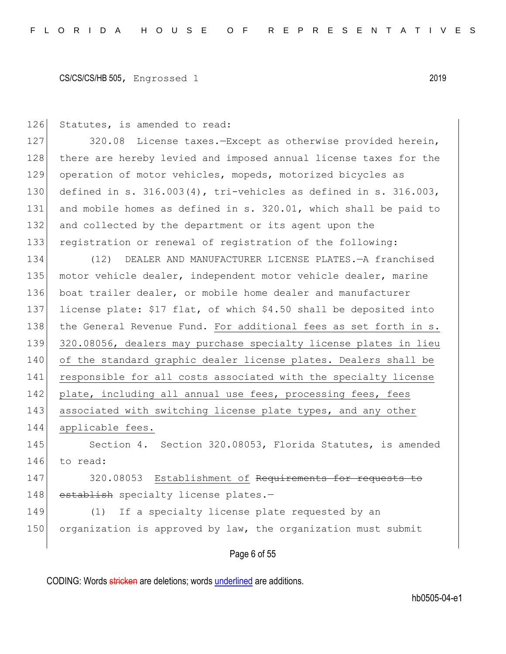126 Statutes, is amended to read:

127 320.08 License taxes.-Except as otherwise provided herein, 128 there are hereby levied and imposed annual license taxes for the 129 operation of motor vehicles, mopeds, motorized bicycles as 130 defined in s. 316.003(4), tri-vehicles as defined in s. 316.003, 131 and mobile homes as defined in s. 320.01, which shall be paid to 132 and collected by the department or its agent upon the 133 registration or renewal of registration of the following:

134 (12) DEALER AND MANUFACTURER LICENSE PLATES.—A franchised 135 motor vehicle dealer, independent motor vehicle dealer, marine 136 boat trailer dealer, or mobile home dealer and manufacturer 137 license plate: \$17 flat, of which \$4.50 shall be deposited into 138 the General Revenue Fund. For additional fees as set forth in s. 139 320.08056, dealers may purchase specialty license plates in lieu 140 of the standard graphic dealer license plates. Dealers shall be 141 responsible for all costs associated with the specialty license 142 plate, including all annual use fees, processing fees, fees 143 associated with switching license plate types, and any other 144 applicable fees. 145 Section 4. Section 320.08053, Florida Statutes, is amended 146 to read:

147 320.08053 Establishment of Requirements for requests to 148 establish specialty license plates.-

149 (1) If a specialty license plate requested by an 150 organization is approved by law, the organization must submit

Page 6 of 55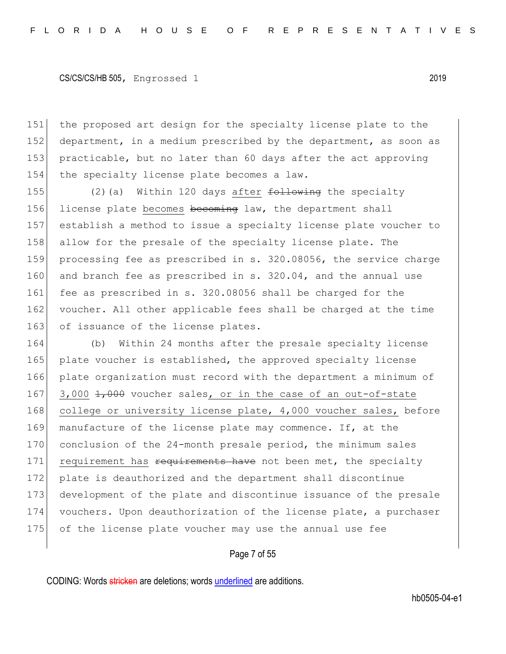151 the proposed art design for the specialty license plate to the 152 department, in a medium prescribed by the department, as soon as 153 practicable, but no later than 60 days after the act approving 154 the specialty license plate becomes a law.

155 (2)(a) Within 120 days after  $f$ ollowing the specialty 156 license plate becomes becoming law, the department shall 157 establish a method to issue a specialty license plate voucher to 158 allow for the presale of the specialty license plate. The 159 processing fee as prescribed in s. 320.08056, the service charge 160 and branch fee as prescribed in s. 320.04, and the annual use 161 fee as prescribed in s. 320.08056 shall be charged for the 162 voucher. All other applicable fees shall be charged at the time 163 of issuance of the license plates.

164 (b) Within 24 months after the presale specialty license 165 plate voucher is established, the approved specialty license 166 plate organization must record with the department a minimum of 167 3,000  $\frac{1}{1000}$  voucher sales, or in the case of an out-of-state 168 college or university license plate, 4,000 voucher sales, before 169 manufacture of the license plate may commence. If, at the 170 conclusion of the 24-month presale period, the minimum sales 171 requirement has requirements have not been met, the specialty 172 plate is deauthorized and the department shall discontinue 173 development of the plate and discontinue issuance of the presale 174 vouchers. Upon deauthorization of the license plate, a purchaser 175 of the license plate voucher may use the annual use fee

Page 7 of 55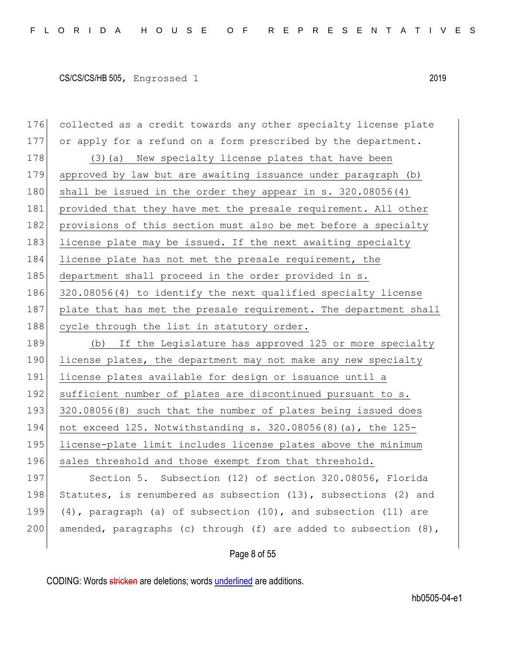176 collected as a credit towards any other specialty license plate 177 or apply for a refund on a form prescribed by the department. 178 (3) (a) New specialty license plates that have been 179 approved by law but are awaiting issuance under paragraph (b) 180 shall be issued in the order they appear in s. 320.08056(4) 181 provided that they have met the presale requirement. All other 182 provisions of this section must also be met before a specialty 183 license plate may be issued. If the next awaiting specialty 184 license plate has not met the presale requirement, the 185 department shall proceed in the order provided in s. 186 320.08056(4) to identify the next qualified specialty license 187 plate that has met the presale requirement. The department shall 188 cycle through the list in statutory order. 189 (b) If the Legislature has approved 125 or more specialty 190 license plates, the department may not make any new specialty 191 license plates available for design or issuance until a 192 sufficient number of plates are discontinued pursuant to s. 193 320.08056(8) such that the number of plates being issued does 194 not exceed 125. Notwithstanding s. 320.08056(8)(a), the 125- 195 license-plate limit includes license plates above the minimum 196 sales threshold and those exempt from that threshold. 197 Section 5. Subsection (12) of section 320.08056, Florida 198 Statutes, is renumbered as subsection (13), subsections (2) and 199 (4), paragraph (a) of subsection (10), and subsection (11) are 200 amended, paragraphs (c) through (f) are added to subsection  $(8)$ ,

Page 8 of 55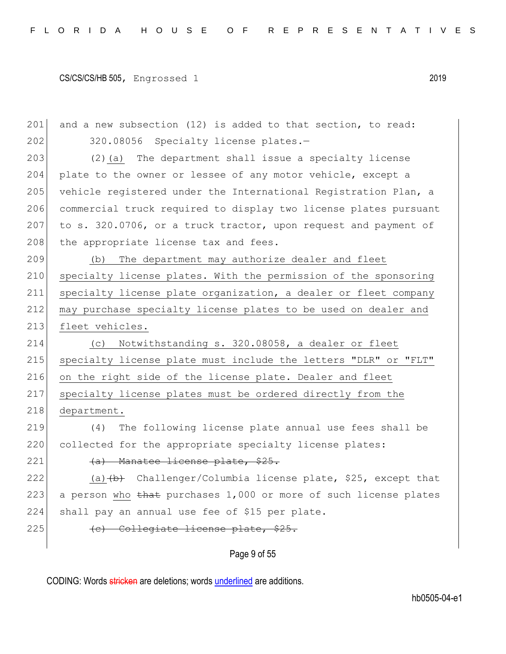Page 9 of 55 201 and a new subsection (12) is added to that section, to read: 202 320.08056 Specialty license plates.-203 (2)(a) The department shall issue a specialty license 204 plate to the owner or lessee of any motor vehicle, except a 205 vehicle registered under the International Registration Plan, a 206 commercial truck required to display two license plates pursuant 207 to s. 320.0706, or a truck tractor, upon request and payment of 208 the appropriate license tax and fees. 209 (b) The department may authorize dealer and fleet 210 specialty license plates. With the permission of the sponsoring 211 specialty license plate organization, a dealer or fleet company 212 may purchase specialty license plates to be used on dealer and 213 fleet vehicles. 214 (c) Notwithstanding s. 320.08058, a dealer or fleet 215 specialty license plate must include the letters "DLR" or "FLT" 216 on the right side of the license plate. Dealer and fleet 217 specialty license plates must be ordered directly from the 218 department. 219 (4) The following license plate annual use fees shall be 220 collected for the appropriate specialty license plates:  $221$  (a) Manatee license plate, \$25. 222 (a)  $\left(\frac{b}{b}\right)$  Challenger/Columbia license plate, \$25, except that 223 a person who  $\frac{1}{223}$  purchases 1,000 or more of such license plates 224 shall pay an annual use fee of \$15 per plate. 225  $\left\langle \epsilon \right\rangle$  Collegiate license plate, \$25.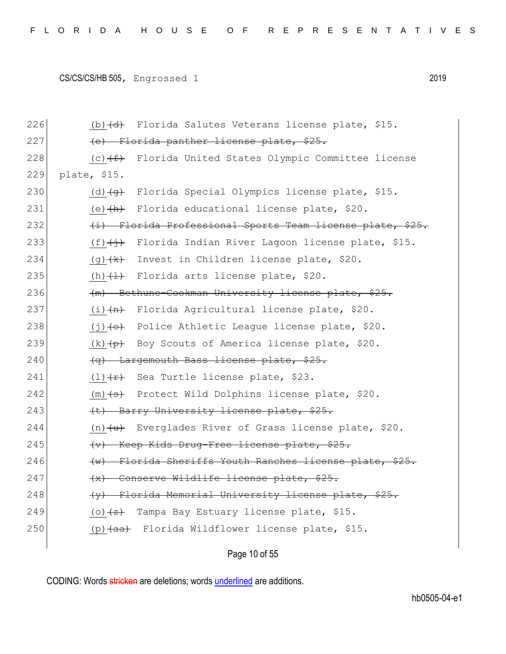| 226 | (b) $\left(\text{d}\right)$ Florida Salutes Veterans license plate, \$15.       |
|-----|---------------------------------------------------------------------------------|
| 227 | (e) Florida panther license plate, \$25.                                        |
| 228 | (c) $(f)$ Florida United States Olympic Committee license                       |
| 229 | plate, \$15.                                                                    |
| 230 | (d) $\overline{g}$ Florida Special Olympics license plate, \$15.                |
| 231 | Florida educational license plate, \$20.<br>(e) <del>(h)</del>                  |
| 232 | (i) Florida Professional Sports Team license plate, \$25.                       |
| 233 | $(f)$ $\overleftrightarrow{f}$ Florida Indian River Lagoon license plate, \$15. |
| 234 | $(g)$ $(k)$ Invest in Children license plate, \$20.                             |
| 235 | (h) $\longleftrightarrow$ Florida arts license plate, \$20.                     |
| 236 | (m) Bethune-Cookman University license plate, \$25.                             |
| 237 | $(i)$ $(n)$ Florida Agricultural license plate, \$20.                           |
| 238 | $(j)$ + $\leftrightarrow$ Police Athletic League license plate, \$20.           |
| 239 | $(k)$ $\leftrightarrow$ Boy Scouts of America license plate, \$20.              |
| 240 | (q) Largemouth Bass license plate, \$25.                                        |
| 241 | $(1)$ $\overline{f}$ Sea Turtle license plate, \$23.                            |
| 242 | $(m)$ $($ s $)$ Protect Wild Dolphins license plate, \$20.                      |
| 243 | (t) Barry University license plate, \$25.                                       |
| 244 | (n) $\overline{u}$ Everglades River of Grass license plate, \$20.               |
| 245 | (v) Keep Kids Drug-Free license plate, \$25.                                    |
| 246 | (w) Florida Sheriffs Youth Ranches license plate, \$25.                         |
| 247 | (x) Conserve Wildlife license plate, \$25.                                      |
| 248 | (y) Florida Memorial University license plate, \$25.                            |
| 249 | (o) $\overline{z}$ Tampa Bay Estuary license plate, \$15.                       |
| 250 | (p) (aa) Florida Wildflower license plate, \$15.                                |
|     |                                                                                 |

Page 10 of 55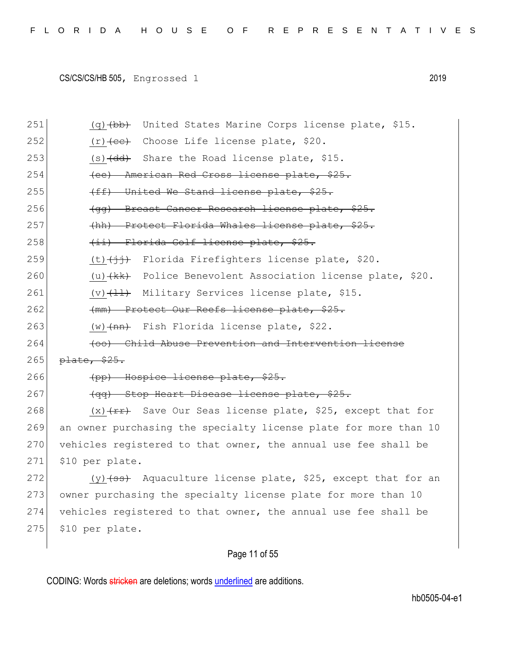| 251 | $(q)$ $(bb)$ United States Marine Corps license plate, \$15.              |
|-----|---------------------------------------------------------------------------|
| 252 | $(r)$ (c) $(ce)$ Choose Life license plate, \$20.                         |
| 253 | $(s)$ $\left(\frac{dd}{d}\right)$ Share the Road license plate, \$15.     |
| 254 | (ee) American Red Cross license plate, \$25.                              |
| 255 | (ff) United We Stand license plate, \$25.                                 |
| 256 | (gg) Breast Cancer Research license plate, \$25.                          |
| 257 | (hh) Protect Florida Whales license plate, \$25.                          |
| 258 | (ii) Florida Golf license plate, \$25.                                    |
| 259 | (t) <del>(jj)</del> Florida Firefighters license plate, \$20.             |
| 260 | (u) $\{kk\}$ Police Benevolent Association license plate, \$20.           |
| 261 | (v) $\overline{11}$ Military Services license plate, \$15.                |
| 262 | (mm) Protect Our Reefs license plate, \$25.                               |
| 263 | (w) (nn) Fish Florida license plate, \$22.                                |
| 264 | (oo) Child Abuse Prevention and Intervention license                      |
| 265 | plate, \$25.                                                              |
| 266 | (pp) Hospice license plate, \$25.                                         |
| 267 | (qq) Stop Heart Disease license plate, \$25.                              |
| 268 | $(x)$ $(x)$ $(x)$ Save Our Seas license plate, \$25, except that for      |
| 269 | an owner purchasing the specialty license plate for more than 10          |
| 270 | vehicles registered to that owner, the annual use fee shall be            |
| 271 | \$10 per plate.                                                           |
| 272 |                                                                           |
|     | (y) $\left(55\right)$ Aquaculture license plate, \$25, except that for an |
| 273 | owner purchasing the specialty license plate for more than 10             |
| 274 | vehicles registered to that owner, the annual use fee shall be            |
| 275 | \$10 per plate.                                                           |

# Page 11 of 55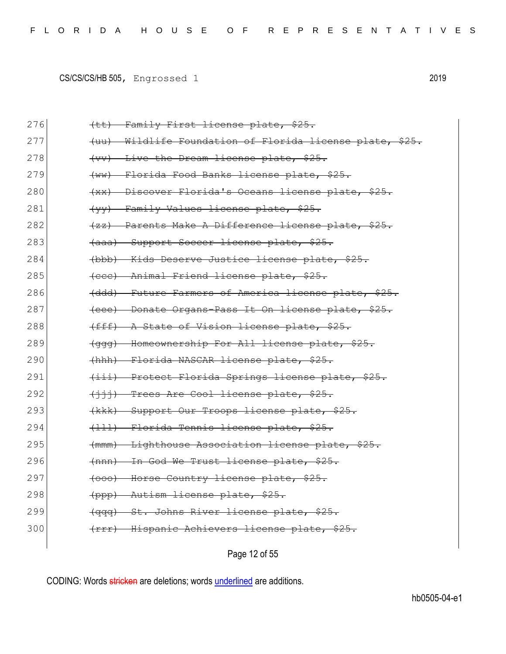| 276 | (tt) Family First license plate, \$25.                   |
|-----|----------------------------------------------------------|
| 277 | (uu) Wildlife Foundation of Florida license plate, \$25. |
| 278 | (vv) Live the Dream license plate, \$25.                 |
| 279 | (ww) Florida Food Banks license plate, \$25.             |
| 280 | (xx) Discover Florida's Oceans license plate, \$25.      |
| 281 | (yy) Family Values license plate, \$25.                  |
| 282 | (zz) Parents Make A Difference license plate, \$25.      |
| 283 | (aaa) Support Soccer license plate, \$25.                |
| 284 | (bbb) Kids Deserve Justice license plate, \$25.          |
| 285 | (eee) Animal Friend license plate, \$25.                 |
| 286 | (ddd) Future Farmers of America license plate, \$25.     |
| 287 | (eee) Donate Organs-Pass It On license plate, \$25.      |
| 288 | (fff) A State of Vision license plate, \$25.             |
| 289 | (ggg) Homeownership For All license plate, \$25.         |
| 290 | (hhh) Florida NASCAR license plate, \$25.                |
| 291 | (iii) Protect Florida Springs license plate, \$25.       |
| 292 | (iii) Trees Are Cool license plate, \$25.                |
| 293 | (kkk) Support Our Troops license plate, \$25.            |
| 294 | (111) Florida Tennis license plate, \$25.                |
| 295 | (mmm) Lighthouse Association license plate, \$25.        |
| 296 | (nnn) In God We Trust license plate, \$25.               |
| 297 | (000) Horse Country license plate, \$25.                 |
| 298 | (ppp) Autism license plate, \$25.                        |
| 299 | St. Johns River license plate, \$25.<br><del>(qqq)</del> |
| 300 | (rrr) Hispanic Achievers license plate, \$25.            |
|     |                                                          |

Page 12 of 55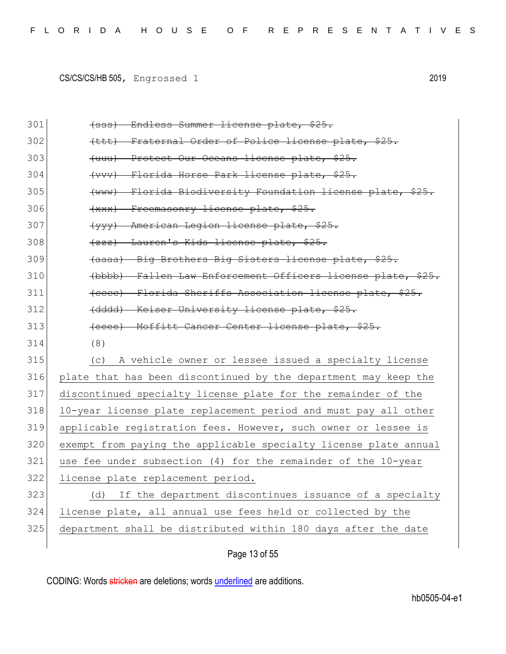| 301 | (sss) Endless Summer license plate, \$25.                        |
|-----|------------------------------------------------------------------|
| 302 | (ttt) Fraternal Order of Police license plate, \$25.             |
| 303 | (uuu) Protect Our Oceans license plate, \$25.                    |
| 304 | (vvv) Florida Horse Park license plate, \$25.                    |
| 305 | (www) Florida Biodiversity Foundation license plate, \$25.       |
| 306 | (xxx) Freemasonry license plate, \$25.                           |
| 307 | (yyy) American Legion license plate, \$25.                       |
| 308 | (zzz) Lauren's Kids license plate, \$25.                         |
| 309 | (aaaa) Big Brothers Big Sisters license plate, \$25.             |
| 310 | (bbbb) Fallen Law Enforcement Officers license plate, \$25.      |
| 311 | (eece) Florida Sheriffs Association license plate, \$25.         |
| 312 | (dddd) Keiser University license plate, \$25.                    |
| 313 | (eeee) Moffitt Cancer Center license plate, \$25.                |
| 314 | (8)                                                              |
| 315 | A vehicle owner or lessee issued a specialty license<br>(C)      |
| 316 | plate that has been discontinued by the department may keep the  |
| 317 | discontinued specialty license plate for the remainder of the    |
| 318 | 10-year license plate replacement period and must pay all other  |
| 319 | applicable registration fees. However, such owner or lessee is   |
| 320 | exempt from paying the applicable specialty license plate annual |
| 321 | use fee under subsection (4) for the remainder of the 10-year    |
| 322 | license plate replacement period.                                |
| 323 | If the department discontinues issuance of a specialty<br>(d)    |
| 324 | license plate, all annual use fees held or collected by the      |
| 325 | department shall be distributed within 180 days after the date   |
|     | Page 13 of 55                                                    |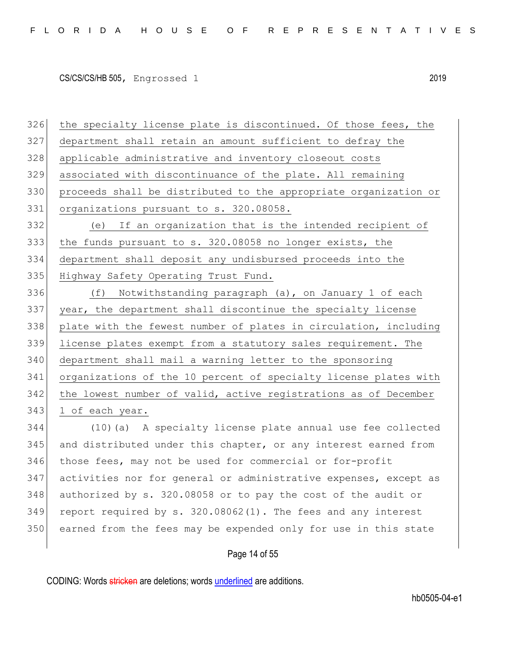the specialty license plate is discontinued. Of those fees, the department shall retain an amount sufficient to defray the applicable administrative and inventory closeout costs associated with discontinuance of the plate. All remaining proceeds shall be distributed to the appropriate organization or organizations pursuant to s. 320.08058. (e) If an organization that is the intended recipient of the funds pursuant to s. 320.08058 no longer exists, the department shall deposit any undisbursed proceeds into the 335 Highway Safety Operating Trust Fund. (f) Notwithstanding paragraph (a), on January 1 of each year, the department shall discontinue the specialty license 338 plate with the fewest number of plates in circulation, including license plates exempt from a statutory sales requirement. The department shall mail a warning letter to the sponsoring organizations of the 10 percent of specialty license plates with the lowest number of valid, active registrations as of December 343 1 of each year. (10)(a) A specialty license plate annual use fee collected 345 and distributed under this chapter, or any interest earned from those fees, may not be used for commercial or for-profit activities nor for general or administrative expenses, except as authorized by s. 320.08058 or to pay the cost of the audit or report required by s.  $320.08062(1)$ . The fees and any interest earned from the fees may be expended only for use in this state

## Page 14 of 55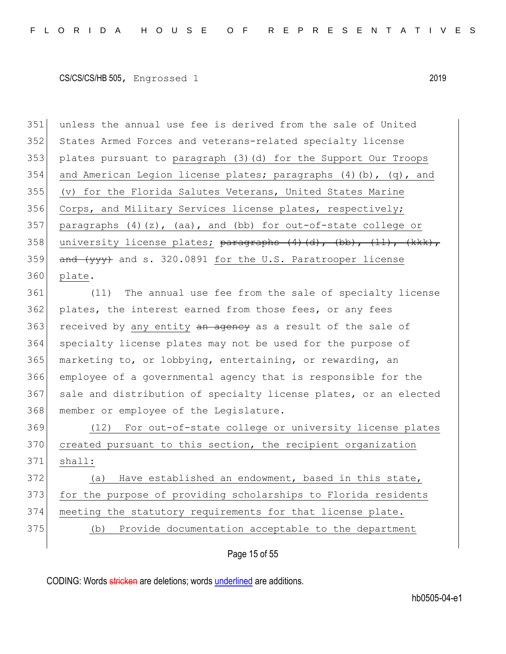351 unless the annual use fee is derived from the sale of United 352 States Armed Forces and veterans-related specialty license 353 plates pursuant to paragraph (3)(d) for the Support Our Troops 354 and American Legion license plates; paragraphs  $(4)$  (b),  $(q)$ , and 355 (v) for the Florida Salutes Veterans, United States Marine 356 Corps, and Military Services license plates, respectively; 357 paragraphs  $(4)(z)$ ,  $(aa)$ , and  $(bb)$  for out-of-state college or 358 university license plates;  $\frac{1}{2}$   $\frac{1}{2}$   $\frac{1}{2}$   $\frac{1}{2}$   $\frac{1}{2}$   $\frac{1}{2}$   $\frac{1}{2}$   $\frac{1}{2}$   $\frac{1}{2}$   $\frac{1}{2}$   $\frac{1}{2}$   $\frac{1}{2}$   $\frac{1}{2}$   $\frac{1}{2}$   $\frac{1}{2}$   $\frac{1}{2}$   $\frac{1}{2}$   $\frac{1}{2}$   $\frac{1}{2}$  359  $\overline{and (yy)}$  and s. 320.0891 for the U.S. Paratrooper license 360 plate.

361 (11) The annual use fee from the sale of specialty license 362 plates, the interest earned from those fees, or any fees 363 received by any entity an ageney as a result of the sale of 364 specialty license plates may not be used for the purpose of 365 marketing to, or lobbying, entertaining, or rewarding, an 366 employee of a governmental agency that is responsible for the 367 sale and distribution of specialty license plates, or an elected 368 member or employee of the Legislature.

 (12) For out-of-state college or university license plates 370 created pursuant to this section, the recipient organization  $371$  shall: (a) Have established an endowment, based in this state, for the purpose of providing scholarships to Florida residents meeting the statutory requirements for that license plate.

375 (b) Provide documentation acceptable to the department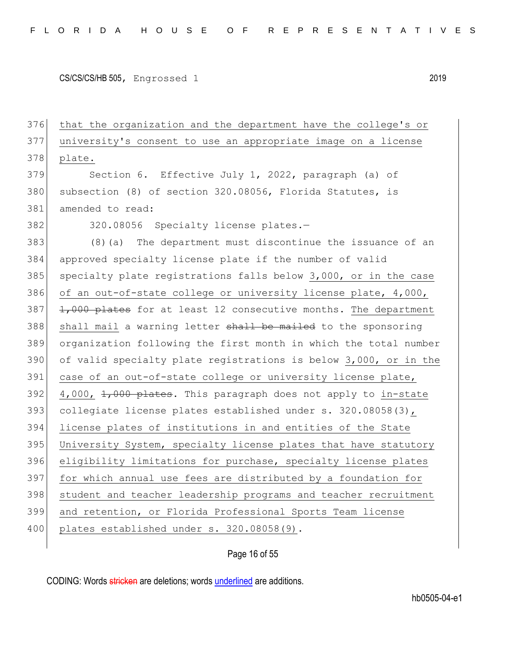that the organization and the department have the college's or university's consent to use an appropriate image on a license 378 plate. Section 6. Effective July 1, 2022, paragraph (a) of subsection (8) of section 320.08056, Florida Statutes, is amended to read: 382 320.08056 Specialty license plates.- (8)(a) The department must discontinue the issuance of an approved specialty license plate if the number of valid 385 specialty plate registrations falls below 3,000, or in the case 386 of an out-of-state college or university license plate, 4,000,  $\left|$  1,000 plates for at least 12 consecutive months. The department 388 shall mail a warning letter shall be mailed to the sponsoring organization following the first month in which the total number of valid specialty plate registrations is below 3,000, or in the 391 case of an out-of-state college or university license plate, 4,000,  $1,000$  plates. This paragraph does not apply to in-state collegiate license plates established under s. 320.08058(3), license plates of institutions in and entities of the State 395 University System, specialty license plates that have statutory eligibility limitations for purchase, specialty license plates for which annual use fees are distributed by a foundation for student and teacher leadership programs and teacher recruitment and retention, or Florida Professional Sports Team license 400 plates established under s. 320.08058(9).

Page 16 of 55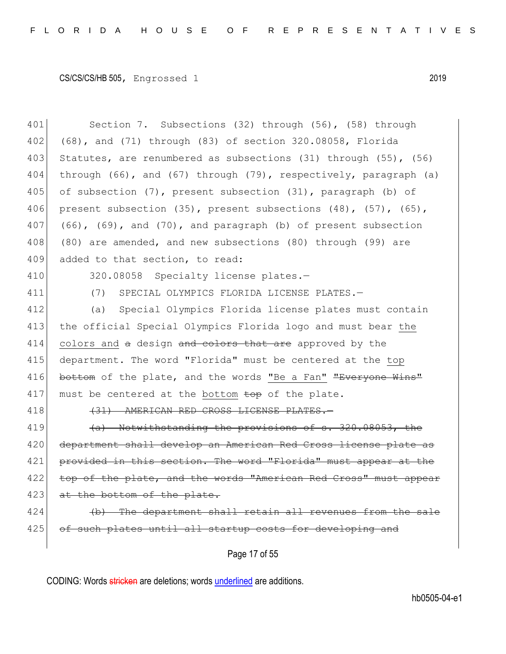| 401 | Section 7. Subsections (32) through (56), (58) through                  |
|-----|-------------------------------------------------------------------------|
| 402 | (68), and (71) through (83) of section 320.08058, Florida               |
| 403 | Statutes, are renumbered as subsections (31) through (55), (56)         |
| 404 | through (66), and (67) through (79), respectively, paragraph (a)        |
| 405 | of subsection (7), present subsection (31), paragraph (b) of            |
| 406 | present subsection (35), present subsections $(48)$ , $(57)$ , $(65)$ , |
| 407 | $(66)$ , $(69)$ , and $(70)$ , and paragraph (b) of present subsection  |
| 408 | (80) are amended, and new subsections (80) through (99) are             |
| 409 | added to that section, to read:                                         |
| 410 | 320.08058 Specialty license plates.-                                    |
| 411 | SPECIAL OLYMPICS FLORIDA LICENSE PLATES.-<br>(7)                        |
| 412 | (a) Special Olympics Florida license plates must contain                |
| 413 | the official Special Olympics Florida logo and must bear the            |
| 414 | colors and a design and colors that are approved by the                 |
| 415 | department. The word "Florida" must be centered at the top              |
| 416 | bottom of the plate, and the words "Be a Fan" "Everyone Wins"           |
| 417 | must be centered at the bottom top of the plate.                        |
| 418 | (31) AMERICAN RED CROSS LICENSE PLATES.                                 |
| 419 | (a) Notwithstanding the provisions of s. 320.08053, the                 |
| 420 | department shall develop an American Red Cross license plate as         |
| 421 | provided in this section. The word "Florida" must appear at the         |
| 422 | top of the plate, and the words "American Red Cross" must appear        |
| 423 | at the bottom of the plate.                                             |
| 424 | (b) The department shall retain all revenues from the sale              |
| 425 | of such plates until all startup costs for developing and               |
|     |                                                                         |

Page 17 of 55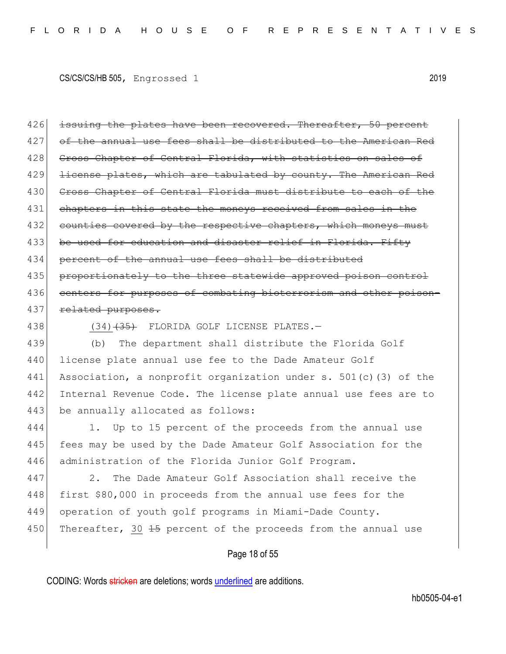426 issuing the plates have been recovered. Thereafter, 50 percent 427 of the annual use fees shall be distributed to the American Red 428 Cross Chapter of Central Florida, with statistics on sales of 429 <del>license plates, which are tabulated by county. The American Red</del> 430 Cross Chapter of Central Florida must distribute to each of the 431 chapters in this state the moneys received from sales in the 432 counties covered by the respective chapters, which moneys must 433 be used for education and disaster relief in Florida. Fifty 434 percent of the annual use fees shall be distributed 435 proportionately to the three statewide approved poison control 436 centers for purposes of combating bioterrorism and other poison-437 related purposes.

438 (34)<del>(35)</del> FLORIDA GOLF LICENSE PLATES.

439 (b) The department shall distribute the Florida Golf 440 license plate annual use fee to the Dade Amateur Golf 441 Association, a nonprofit organization under s. 501(c)(3) of the 442 Internal Revenue Code. The license plate annual use fees are to 443 be annually allocated as follows:

444 1. Up to 15 percent of the proceeds from the annual use 445 fees may be used by the Dade Amateur Golf Association for the 446 administration of the Florida Junior Golf Program.

447 2. The Dade Amateur Golf Association shall receive the 448 first \$80,000 in proceeds from the annual use fees for the 449 operation of youth golf programs in Miami-Dade County. 450 Thereafter, 30  $\frac{15}{15}$  percent of the proceeds from the annual use

### Page 18 of 55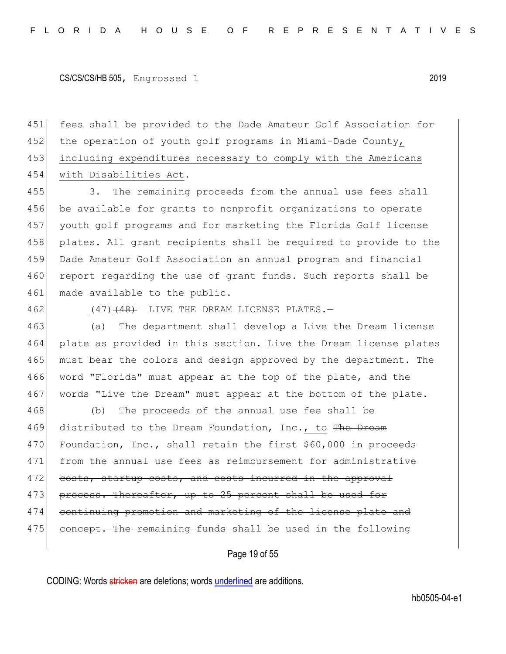fees shall be provided to the Dade Amateur Golf Association for 452 the operation of youth golf programs in Miami-Dade County, including expenditures necessary to comply with the Americans with Disabilities Act.

455 3. The remaining proceeds from the annual use fees shall 456 be available for grants to nonprofit organizations to operate 457 youth golf programs and for marketing the Florida Golf license 458 plates. All grant recipients shall be required to provide to the 459 Dade Amateur Golf Association an annual program and financial 460 report regarding the use of grant funds. Such reports shall be 461 made available to the public.

462 (47)<del>(48)</del> LIVE THE DREAM LICENSE PLATES.

463 (a) The department shall develop a Live the Dream license 464 plate as provided in this section. Live the Dream license plates 465 must bear the colors and design approved by the department. The 466 word "Florida" must appear at the top of the plate, and the 467 words "Live the Dream" must appear at the bottom of the plate.

468 (b) The proceeds of the annual use fee shall be 469 distributed to the Dream Foundation, Inc., to The Dream 470 Foundation, Inc., shall retain the first \$60,000 in proceeds 471 from the annual use fees as reimbursement for administrative 472 costs, startup costs, and costs incurred in the approval 473 process. Thereafter, up to 25 percent shall be used for 474 continuing promotion and marketing of the license plate and 475 concept. The remaining funds shall be used in the following

Page 19 of 55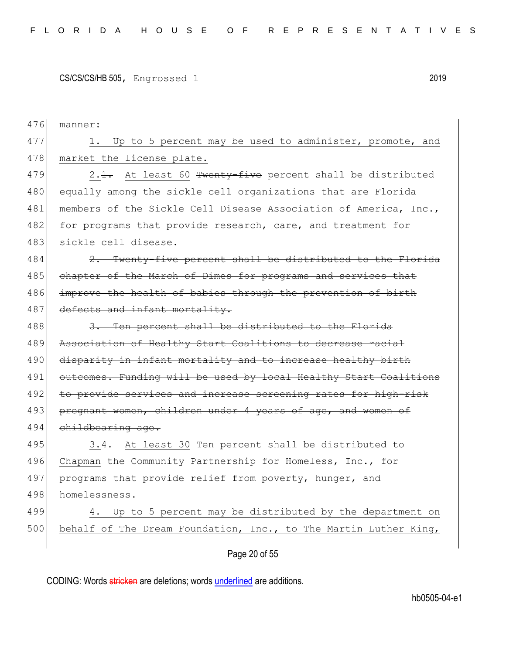476 manner: 477 1. Up to 5 percent may be used to administer, promote, and 478 market the license plate. 479  $\vert$  2.<del>1.</del> At least 60 Twenty-five percent shall be distributed 480 equally among the sickle cell organizations that are Florida 481 | members of the Sickle Cell Disease Association of America, Inc., 482 for programs that provide research, care, and treatment for 483 sickle cell disease.  $484$  2. Twenty-five percent shall be distributed to the Florida 485 chapter of the March of Dimes for programs and services that 486 improve the health of babies through the prevention of birth 487 defects and infant mortality. 488 3. Ten percent shall be distributed to the Florida 489 Association of Healthy Start Coalitions to decrease racial 490 disparity in infant mortality and to increase healthy birth 491 outcomes. Funding will be used by local Healthy Start Coalitions 492 to provide services and increase screening rates for high-risk 493 pregnant women, children under 4 years of age, and women of 494 childbearing age. 495 3.4. At least 30 Ten percent shall be distributed to 496 Chapman the Community Partnership for Homeless, Inc., for 497 programs that provide relief from poverty, hunger, and 498 homelessness. 499 4. Up to 5 percent may be distributed by the department on 500 behalf of The Dream Foundation, Inc., to The Martin Luther King,

Page 20 of 55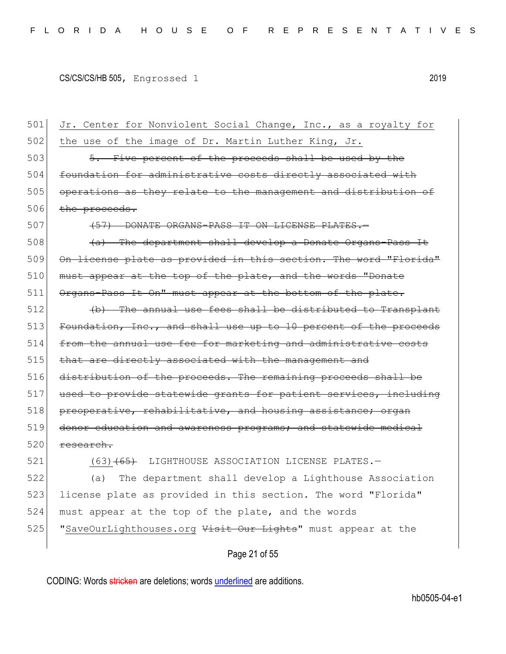501 Jr. Center for Nonviolent Social Change, Inc., as a royalty for  $502$  the use of the image of Dr. Martin Luther King, Jr. 503 5. Five percent of the proceeds shall be used by the 504 foundation for administrative costs directly associated with 505 operations as they relate to the management and distribution of 506 the proceeds. 507 (57) DONATE ORGANS-PASS IT ON LICENSE PLATES.  $508$  (a) The department shall develop a Donate Organs-Pass It 509 On license plate as provided in this section. The word "Florida"  $510$  must appear at the top of the plate, and the words "Donate 511 Organs-Pass It On" must appear at the bottom of the plate.  $512$  (b) The annual use fees shall be distributed to Transplant 513 Foundation, Inc., and shall use up to 10 percent of the proceeds 514 from the annual use fee for marketing and administrative costs 515 that are directly associated with the management and 516 distribution of the proceeds. The remaining proceeds shall be 517 used to provide statewide grants for patient services, including  $518$  preoperative, rehabilitative, and housing assistance; 519 donor education and awareness programs; and statewide medical  $520$  research. 521 (63)<del>(65)</del> LIGHTHOUSE ASSOCIATION LICENSE PLATES. 522 (a) The department shall develop a Lighthouse Association 523 license plate as provided in this section. The word "Florida" 524 must appear at the top of the plate, and the words 525 | "SaveOurLighthouses.org Visit Our Lights" must appear at the

Page 21 of 55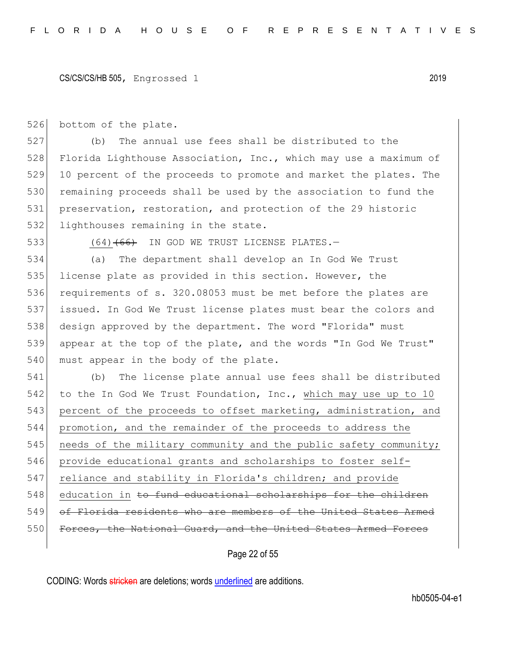526 bottom of the plate.

 (b) The annual use fees shall be distributed to the 528 Florida Lighthouse Association, Inc., which may use a maximum of 10 percent of the proceeds to promote and market the plates. The remaining proceeds shall be used by the association to fund the preservation, restoration, and protection of the 29 historic 532 lighthouses remaining in the state.

533 (64)<del>(66)</del> IN GOD WE TRUST LICENSE PLATES.

534 (a) The department shall develop an In God We Trust 535 license plate as provided in this section. However, the 536 requirements of s. 320.08053 must be met before the plates are 537 issued. In God We Trust license plates must bear the colors and 538 design approved by the department. The word "Florida" must 539 appear at the top of the plate, and the words "In God We Trust" 540 must appear in the body of the plate.

541 (b) The license plate annual use fees shall be distributed 542 to the In God We Trust Foundation, Inc., which may use up to 10 543 percent of the proceeds to offset marketing, administration, and 544 promotion, and the remainder of the proceeds to address the 545 needs of the military community and the public safety community; 546 provide educational grants and scholarships to foster self-547 reliance and stability in Florida's children; and provide 548 education in to fund educational scholarships for the children 549 of Florida residents who are members of the United States Armed 550 Forces, the National Guard, and the United States Armed Forces

Page 22 of 55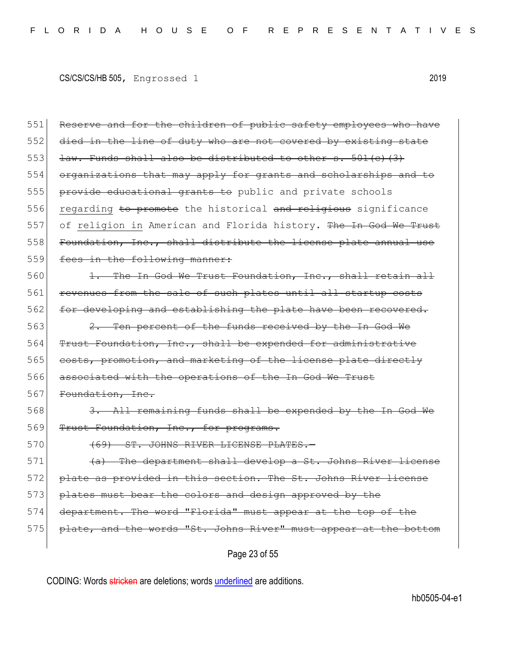Page 23 of 55 551 Reserve and for the children of public safety employees who have 552 died in the line of duty who are not covered by existing state 553 law. Funds shall also be distributed to other s. 501(c)(3) 554 organizations that may apply for grants and scholarships and to 555 provide educational grants to public and private schools 556 regarding to promote the historical and religious significance 557 of religion in American and Florida history. The In God We Trust 558 Foundation, Inc., shall distribute the license plate annual use 559 fees in the following manner: 560 1. The In God We Trust Foundation, Inc., shall retain all 561 revenues from the sale of such plates until all startup costs 562 for developing and establishing the plate have been recovered. 563  $\left| \right|$  2. Ten percent of the funds received by the In God We 564 Trust Foundation, Inc., shall be expended for administrative 565 costs, promotion, and marketing of the license plate directly 566 associated with the operations of the In God We Trust 567 Foundation, Inc. 568 3. All remaining funds shall be expended by the In God We 569 Trust Foundation, Inc., for programs. 570 (69) ST. JOHNS RIVER LICENSE PLATES.  $571$  (a) The department shall develop a St. Johns River license 572 plate as provided in this section. The St. Johns River license 573 plates must bear the colors and design approved by the 574 department. The word "Florida" must appear at the top of the 575 plate, and the words "St. Johns River" must appear at the bottom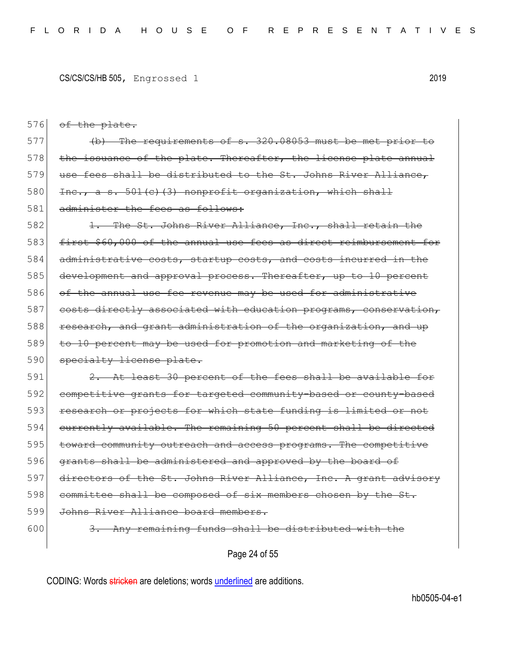$576$  of the plate.

 $[577]$  (b) The requirements of s. 320.08053 must be met prior 578 the issuance of the plate. Thereafter, the license plate annual 579 use fees shall be distributed to the St. Johns River Alliance, 580 Inc., a s. 501(c)(3) nonprofit organization, which shall 581 administer the fees as follows:

582 1. The St. Johns River Alliance, Inc., shall retain the 583 first \$60,000 of the annual use fees as direct reimbursement for 584 administrative costs, startup costs, and costs incurred in the 585 development and approval process. Thereafter, up to 10 percent 586 of the annual use fee revenue may be used for administrative 587 costs directly associated with education programs, conservation, 588 research, and grant administration of the organization, and up 589 to 10 percent may be used for promotion and marketing of the 590 specialty license plate.

591 2. At least 30 percent of the fees shall be available for 592 competitive grants for targeted community-based or county-based 593 research or projects for which state funding is limited or not 594 currently available. The remaining 50 percent shall be directed 595 toward community outreach and access programs. The competitive 596 grants shall be administered and approved by the board of 597 directors of the St. Johns River Alliance, Inc. A grant advisory  $598$  committee shall be composed of six members chosen by the St. 599 Johns River Alliance board members.  $600$  3. Any remaining funds shall be distributed with the

Page 24 of 55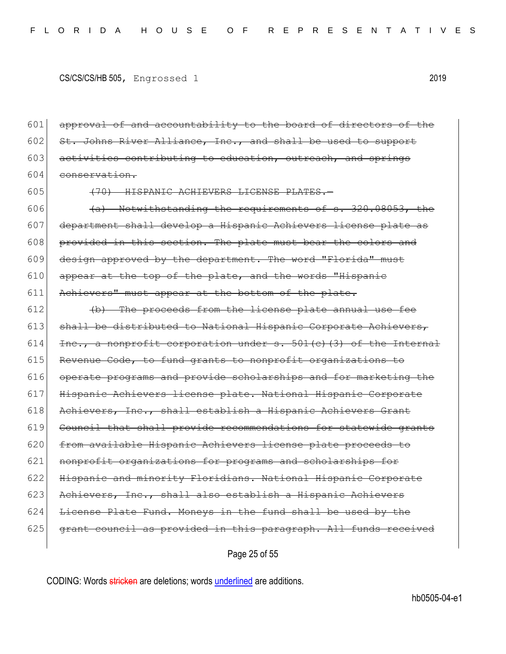601 approval of and accountability to the board of directors of the 602 St. Johns River Alliance, Inc., and shall be used to 603 activities contributing to education, outreach, and springs 604 conservation.

605 (70) HISPANIC ACHIEVERS LICENSE PLATES.

606  $\left($   $\leftarrow$   $\leftarrow$  Notwithstanding the requirements of s. 320.08053, the 607 department shall develop a Hispanic Achievers license plate as 608 provided in this section. The plate must bear the colors and 609 design approved by the department. The word "Florida" must  $610$  appear at the top of the plate, and the words "Hispanic 611 Achievers" must appear at the bottom of the plate.

 $612$  (b) The proceeds from the license plate annual use fee 613 shall be distributed to National Hispanic Corporate Achievers, 614 Inc., a nonprofit corporation under  $s. 501(e)$  (3) of the Internal 615 Revenue Code, to fund grants to nonprofit organizations to 616 operate programs and provide scholarships and for marketing the 617 Hispanic Achievers license plate. National Hispanic Corporate 618 Achievers, Inc., shall establish a Hispanic Achievers Grant 619 Council that shall provide recommendations for statewide grants 620 from available Hispanic Achievers license plate proceeds to 621 nonprofit organizations for programs and scholarships for 622 Hispanic and minority Floridians. National Hispanic Corporate 623 Achievers, Inc., shall also establish a Hispanic Achievers  $624$  License Plate Fund. Moneys in the fund shall be used by the  $625$  grant council as provided in this paragraph. All funds received

Page 25 of 55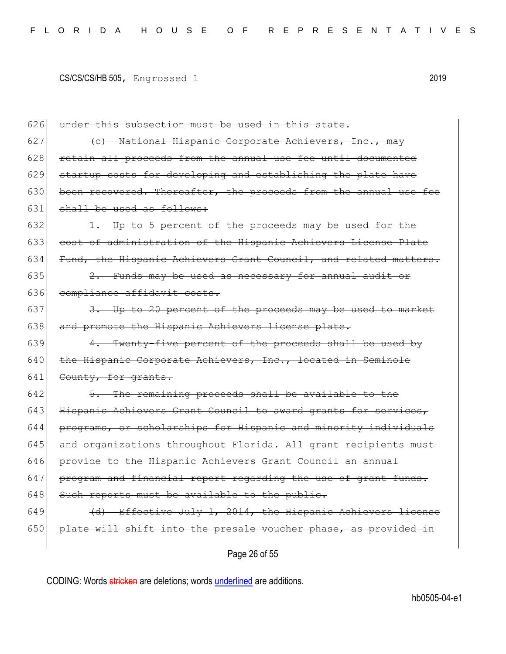626 under this subsection must be used in this state. 627  $\left\{\left(e\right)\right\}$  National Hispanic Corporate Achievers, Inc., may  $628$  retain all proceeds from the annual use fee until documented 629 startup costs for developing and establishing the plate have 630 been recovered. Thereafter, the proceeds from the annual use fee 631 shall be used as follows:  $632$  1. Up to 5 percent of the proceeds may be used for the 633 cost of administration of the Hispanic Achievers License Plate 634 Fund, the Hispanic Achievers Grant Council, and related matters.  $635$  2. Funds may be used as necessary for annual audit or 636 compliance affidavit costs.  $637$  3. Up to 20 percent of the proceeds may be used to market 638 and promote the Hispanic Achievers license plate. 639  $\vert$  4. Twenty-five percent of the proceeds shall be used by 640 the Hispanic Corporate Achievers, Inc., located in Seminole 641 County, for grants. 642 5. The remaining proceeds shall be available to the 643 Hispanic Achievers Grant Council to award grants for services, 644 programs, or scholarships for Hispanic and minority individuals 645 and organizations throughout Florida. All grant recipients must 646 provide to the Hispanic Achievers Grant Council an annual  $647$  program and financial report regarding the use of grant funds. 648 Such reports must be available to the public. 649  $(d)$  Effective July 1, 2014, the Hispanic Achievers license 650 plate will shift into the presale voucher phase, as provided in

Page 26 of 55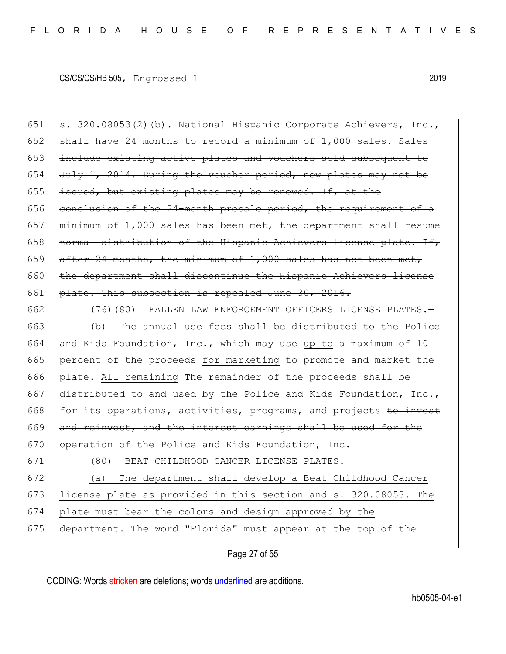651  $\vert$  s. 320.08053(2)(b). National Hispanic Corporate Achievers, Inc.,  $652$  shall have 24 months to record a minimum of 1,000 sales. Sales 653 include existing active plates and vouchers sold subsequent to 654 July 1, 2014. During the voucher period, new plates may not be 655 issued, but existing plates may be renewed. If, at the 656 conclusion of the  $24$ -month presale period, the requirement of a 657 minimum of  $1,000$  sales has been met, the department shall resume  $658$  normal distribution of the Hispanic Achievers license plate. If, 659 after 24 months, the minimum of 1,000 sales has not been met, 660 the department shall discontinue the Hispanic Achievers license 661 plate. This subsection is repealed June 30, 2016.

- 662 (76)<del>(80)</del> FALLEN LAW ENFORCEMENT OFFICERS LICENSE PLATES. 663 (b) The annual use fees shall be distributed to the Police 664 and Kids Foundation, Inc., which may use up to a maximum of 10 665 percent of the proceeds for marketing to promote and market the 666 plate. All remaining The remainder of the proceeds shall be 667 distributed to and used by the Police and Kids Foundation, Inc., 668 for its operations, activities, programs, and projects to invest 669 and reinvest, and the interest earnings shall be used for the 670 operation of the Police and Kids Foundation, Inc.
	-

671 (80) BEAT CHILDHOOD CANCER LICENSE PLATES.—

 (a) The department shall develop a Beat Childhood Cancer license plate as provided in this section and s. 320.08053. The plate must bear the colors and design approved by the department. The word "Florida" must appear at the top of the

### Page 27 of 55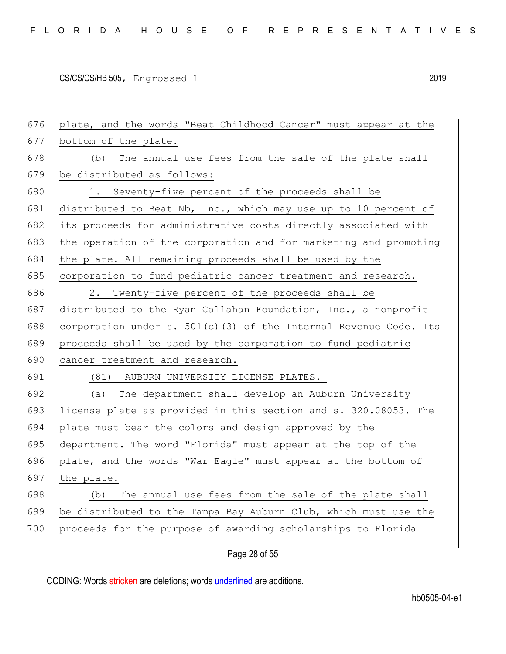| 676 | plate, and the words "Beat Childhood Cancer" must appear at the     |
|-----|---------------------------------------------------------------------|
| 677 | bottom of the plate.                                                |
| 678 | (b) The annual use fees from the sale of the plate shall            |
| 679 | be distributed as follows:                                          |
| 680 | 1. Seventy-five percent of the proceeds shall be                    |
| 681 | distributed to Beat Nb, Inc., which may use up to 10 percent of     |
| 682 | its proceeds for administrative costs directly associated with      |
| 683 | the operation of the corporation and for marketing and promoting    |
| 684 | the plate. All remaining proceeds shall be used by the              |
| 685 | corporation to fund pediatric cancer treatment and research.        |
| 686 | 2.<br>Twenty-five percent of the proceeds shall be                  |
| 687 | distributed to the Ryan Callahan Foundation, Inc., a nonprofit      |
| 688 | corporation under s. $501(c)$ (3) of the Internal Revenue Code. Its |
| 689 | proceeds shall be used by the corporation to fund pediatric         |
|     |                                                                     |
| 690 | cancer treatment and research.                                      |
| 691 | (81) AUBURN UNIVERSITY LICENSE PLATES.-                             |
| 692 | (a) The department shall develop an Auburn University               |
| 693 | license plate as provided in this section and s. 320.08053. The     |
| 694 | plate must bear the colors and design approved by the               |
| 695 | department. The word "Florida" must appear at the top of the        |
| 696 | plate, and the words "War Eagle" must appear at the bottom of       |
| 697 | the plate.                                                          |
| 698 | The annual use fees from the sale of the plate shall<br>(b)         |
| 699 | be distributed to the Tampa Bay Auburn Club, which must use the     |
| 700 | proceeds for the purpose of awarding scholarships to Florida        |

Page 28 of 55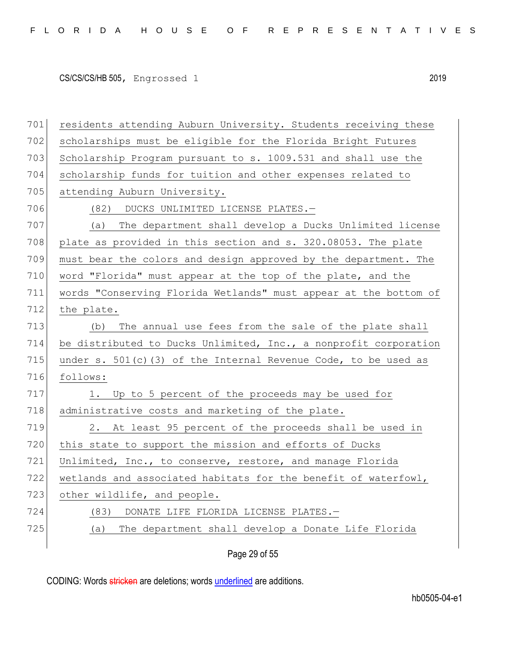| 701 | residents attending Auburn University. Students receiving these   |
|-----|-------------------------------------------------------------------|
| 702 | scholarships must be eligible for the Florida Bright Futures      |
| 703 | Scholarship Program pursuant to s. 1009.531 and shall use the     |
| 704 | scholarship funds for tuition and other expenses related to       |
| 705 | attending Auburn University.                                      |
| 706 | (82) DUCKS UNLIMITED LICENSE PLATES.-                             |
| 707 | The department shall develop a Ducks Unlimited license<br>(a)     |
| 708 | plate as provided in this section and s. 320.08053. The plate     |
| 709 | must bear the colors and design approved by the department. The   |
| 710 | word "Florida" must appear at the top of the plate, and the       |
| 711 | words "Conserving Florida Wetlands" must appear at the bottom of  |
| 712 | the plate.                                                        |
| 713 | The annual use fees from the sale of the plate shall<br>(b)       |
| 714 | be distributed to Ducks Unlimited, Inc., a nonprofit corporation  |
| 715 | under s. $501(c)$ (3) of the Internal Revenue Code, to be used as |
| 716 | follows:                                                          |
| 717 | 1. Up to 5 percent of the proceeds may be used for                |
| 718 | administrative costs and marketing of the plate.                  |
| 719 | 2. At least 95 percent of the proceeds shall be used in           |
| 720 | this state to support the mission and efforts of Ducks            |
| 721 | Unlimited, Inc., to conserve, restore, and manage Florida         |
| 722 | wetlands and associated habitats for the benefit of waterfowl,    |
| 723 | other wildlife, and people.                                       |
| 724 | (83)<br>DONATE LIFE FLORIDA LICENSE PLATES.-                      |
| 725 | The department shall develop a Donate Life Florida<br>(a)         |
|     |                                                                   |

Page 29 of 55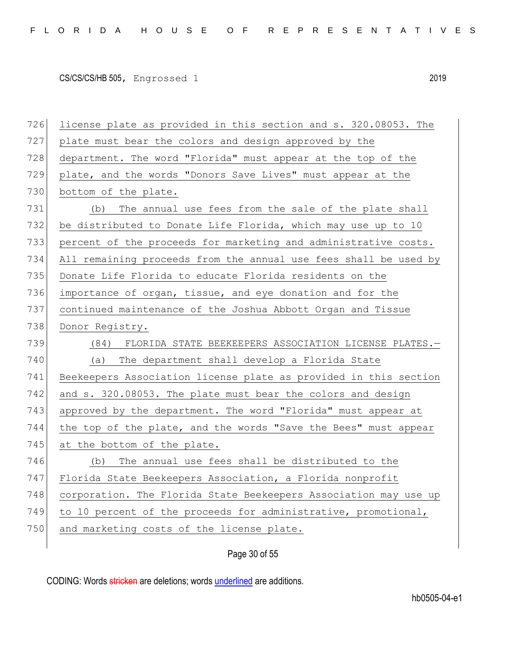| 726 | license plate as provided in this section and s. 320.08053. The  |
|-----|------------------------------------------------------------------|
| 727 | plate must bear the colors and design approved by the            |
| 728 | department. The word "Florida" must appear at the top of the     |
| 729 | plate, and the words "Donors Save Lives" must appear at the      |
| 730 | bottom of the plate.                                             |
| 731 | The annual use fees from the sale of the plate shall<br>(b)      |
| 732 | be distributed to Donate Life Florida, which may use up to 10    |
| 733 | percent of the proceeds for marketing and administrative costs.  |
| 734 | All remaining proceeds from the annual use fees shall be used by |
| 735 | Donate Life Florida to educate Florida residents on the          |
| 736 | importance of organ, tissue, and eye donation and for the        |
| 737 | continued maintenance of the Joshua Abbott Organ and Tissue      |
| 738 | Donor Registry.                                                  |
|     |                                                                  |
| 739 | (84) FLORIDA STATE BEEKEEPERS ASSOCIATION LICENSE PLATES.-       |
| 740 | The department shall develop a Florida State<br>(a)              |
| 741 | Beekeepers Association license plate as provided in this section |
| 742 | and s. 320.08053. The plate must bear the colors and design      |
| 743 | approved by the department. The word "Florida" must appear at    |
| 744 | the top of the plate, and the words "Save the Bees" must appear  |
| 745 | at the bottom of the plate.                                      |
| 746 | The annual use fees shall be distributed to the<br>(b)           |
| 747 | Florida State Beekeepers Association, a Florida nonprofit        |
| 748 | corporation. The Florida State Beekeepers Association may use up |
| 749 | to 10 percent of the proceeds for administrative, promotional,   |
| 750 | and marketing costs of the license plate.                        |

Page 30 of 55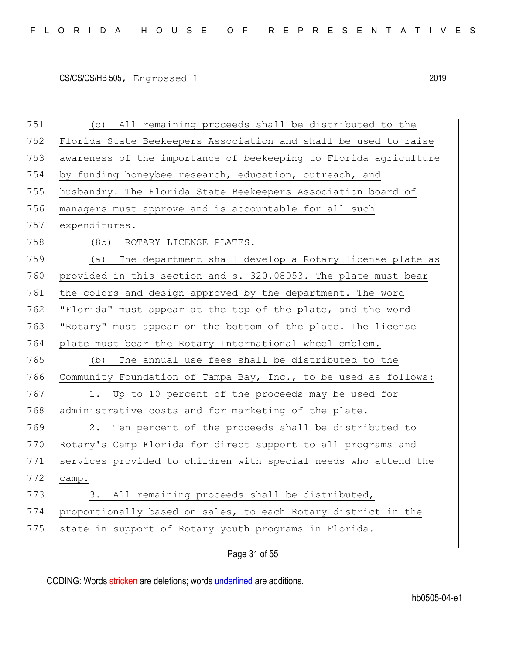| 751 | (c) All remaining proceeds shall be distributed to the           |
|-----|------------------------------------------------------------------|
| 752 | Florida State Beekeepers Association and shall be used to raise  |
| 753 | awareness of the importance of beekeeping to Florida agriculture |
| 754 | by funding honeybee research, education, outreach, and           |
| 755 | husbandry. The Florida State Beekeepers Association board of     |
| 756 | managers must approve and is accountable for all such            |
| 757 | expenditures.                                                    |
| 758 | (85) ROTARY LICENSE PLATES.-                                     |
| 759 | The department shall develop a Rotary license plate as<br>(a)    |
| 760 | provided in this section and s. 320.08053. The plate must bear   |
| 761 | the colors and design approved by the department. The word       |
| 762 | "Florida" must appear at the top of the plate, and the word      |
| 763 | "Rotary" must appear on the bottom of the plate. The license     |
| 764 | plate must bear the Rotary International wheel emblem.           |
| 765 | The annual use fees shall be distributed to the<br>(b)           |
| 766 | Community Foundation of Tampa Bay, Inc., to be used as follows:  |
| 767 | Up to 10 percent of the proceeds may be used for<br>1.           |
| 768 | administrative costs and for marketing of the plate.             |
| 769 | Ten percent of the proceeds shall be distributed to<br>2.        |
| 770 | Rotary's Camp Florida for direct support to all programs and     |
| 771 | services provided to children with special needs who attend the  |
| 772 | camp.                                                            |
| 773 | 3. All remaining proceeds shall be distributed,                  |
| 774 | proportionally based on sales, to each Rotary district in the    |
| 775 |                                                                  |
|     | state in support of Rotary youth programs in Florida.            |

Page 31 of 55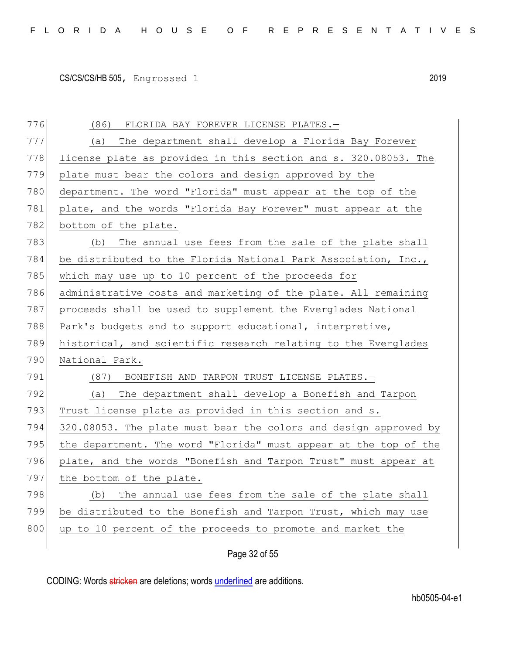776 (86) FLORIDA BAY FOREVER LICENSE PLATES. 777 (a) The department shall develop a Florida Bay Forever 778 license plate as provided in this section and s. 320.08053. The 779 plate must bear the colors and design approved by the 780 department. The word "Florida" must appear at the top of the 781 plate, and the words "Florida Bay Forever" must appear at the 782 bottom of the plate. 783 (b) The annual use fees from the sale of the plate shall 784 be distributed to the Florida National Park Association, Inc., 785 which may use up to 10 percent of the proceeds for 786 administrative costs and marketing of the plate. All remaining 787 proceeds shall be used to supplement the Everglades National 788 Park's budgets and to support educational, interpretive, 789 historical, and scientific research relating to the Everglades 790 National Park. 791 (87) BONEFISH AND TARPON TRUST LICENSE PLATES. 792 (a) The department shall develop a Bonefish and Tarpon 793 Trust license plate as provided in this section and s. 794 320.08053. The plate must bear the colors and design approved by 795 the department. The word "Florida" must appear at the top of the 796 plate, and the words "Bonefish and Tarpon Trust" must appear at 797 the bottom of the plate. 798 (b) The annual use fees from the sale of the plate shall 799 be distributed to the Bonefish and Tarpon Trust, which may use 800 up to 10 percent of the proceeds to promote and market the

Page 32 of 55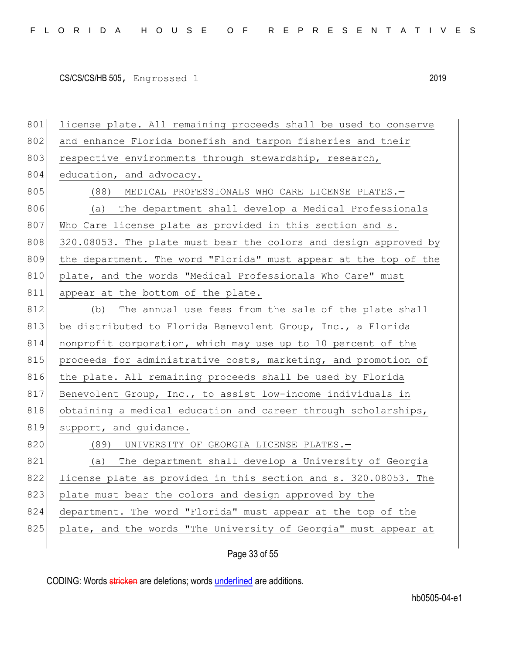801 license plate. All remaining proceeds shall be used to conserve 802 and enhance Florida bonefish and tarpon fisheries and their 803 respective environments through stewardship, research, 804 education, and advocacy. 805 (88) MEDICAL PROFESSIONALS WHO CARE LICENSE PLATES. 806 (a) The department shall develop a Medical Professionals 807 Who Care license plate as provided in this section and s. 808 320.08053. The plate must bear the colors and design approved by 809 the department. The word "Florida" must appear at the top of the 810 plate, and the words "Medical Professionals Who Care" must 811 appear at the bottom of the plate. 812 (b) The annual use fees from the sale of the plate shall 813 be distributed to Florida Benevolent Group, Inc., a Florida 814 nonprofit corporation, which may use up to 10 percent of the 815 proceeds for administrative costs, marketing, and promotion of 816 the plate. All remaining proceeds shall be used by Florida 817 Benevolent Group, Inc., to assist low-income individuals in 818 obtaining a medical education and career through scholarships, 819 support, and quidance. 820 (89) UNIVERSITY OF GEORGIA LICENSE PLATES. 821 (a) The department shall develop a University of Georgia 822 license plate as provided in this section and s. 320.08053. The 823 plate must bear the colors and design approved by the 824 department. The word "Florida" must appear at the top of the 825 plate, and the words "The University of Georgia" must appear at

Page 33 of 55

CODING: Words stricken are deletions; words underlined are additions.

hb0505-04-e1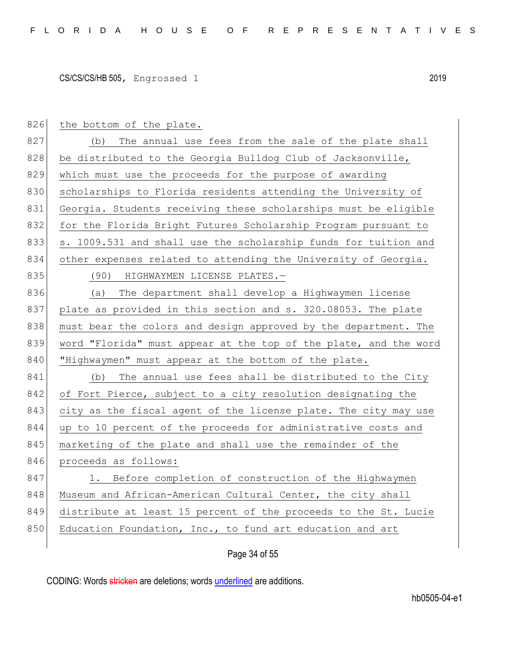826 the bottom of the plate. 827 (b) The annual use fees from the sale of the plate shall 828 be distributed to the Georgia Bulldog Club of Jacksonville, 829 which must use the proceeds for the purpose of awarding 830 scholarships to Florida residents attending the University of 831 Georgia. Students receiving these scholarships must be eligible 832 for the Florida Bright Futures Scholarship Program pursuant to 833 s. 1009.531 and shall use the scholarship funds for tuition and 834 other expenses related to attending the University of Georgia. 835 (90) HIGHWAYMEN LICENSE PLATES.-836 (a) The department shall develop a Highwaymen license 837 plate as provided in this section and s. 320.08053. The plate 838 must bear the colors and design approved by the department. The 839 word "Florida" must appear at the top of the plate, and the word 840 | "Highwaymen" must appear at the bottom of the plate. 841 (b) The annual use fees shall be distributed to the City 842 of Fort Pierce, subject to a city resolution designating the 843 city as the fiscal agent of the license plate. The city may use 844 up to 10 percent of the proceeds for administrative costs and 845 marketing of the plate and shall use the remainder of the 846 proceeds as follows: 847 1. Before completion of construction of the Highwaymen 848 Museum and African-American Cultural Center, the city shall 849 distribute at least 15 percent of the proceeds to the St. Lucie 850 Education Foundation, Inc., to fund art education and art

## Page 34 of 55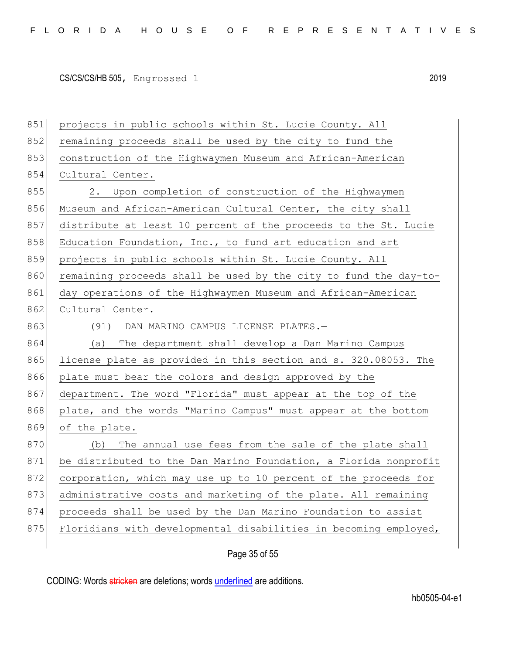| 851 | projects in public schools within St. Lucie County. All          |
|-----|------------------------------------------------------------------|
| 852 | remaining proceeds shall be used by the city to fund the         |
| 853 | construction of the Highwaymen Museum and African-American       |
| 854 | Cultural Center.                                                 |
| 855 | Upon completion of construction of the Highwaymen<br>2.          |
| 856 | Museum and African-American Cultural Center, the city shall      |
| 857 | distribute at least 10 percent of the proceeds to the St. Lucie  |
| 858 | Education Foundation, Inc., to fund art education and art        |
| 859 | projects in public schools within St. Lucie County. All          |
| 860 | remaining proceeds shall be used by the city to fund the day-to- |
| 861 | day operations of the Highwaymen Museum and African-American     |
| 862 | Cultural Center.                                                 |
| 863 | (91) DAN MARINO CAMPUS LICENSE PLATES.-                          |
| 864 | (a) The department shall develop a Dan Marino Campus             |
| 865 | license plate as provided in this section and s. 320.08053. The  |
| 866 | plate must bear the colors and design approved by the            |
| 867 | department. The word "Florida" must appear at the top of the     |
| 868 | plate, and the words "Marino Campus" must appear at the bottom   |
| 869 | of the plate.                                                    |
| 870 | The annual use fees from the sale of the plate shall<br>(b)      |
| 871 | be distributed to the Dan Marino Foundation, a Florida nonprofit |
| 872 | corporation, which may use up to 10 percent of the proceeds for  |
| 873 | administrative costs and marketing of the plate. All remaining   |
| 874 | proceeds shall be used by the Dan Marino Foundation to assist    |
| 875 | Floridians with developmental disabilities in becoming employed, |
|     |                                                                  |

# Page 35 of 55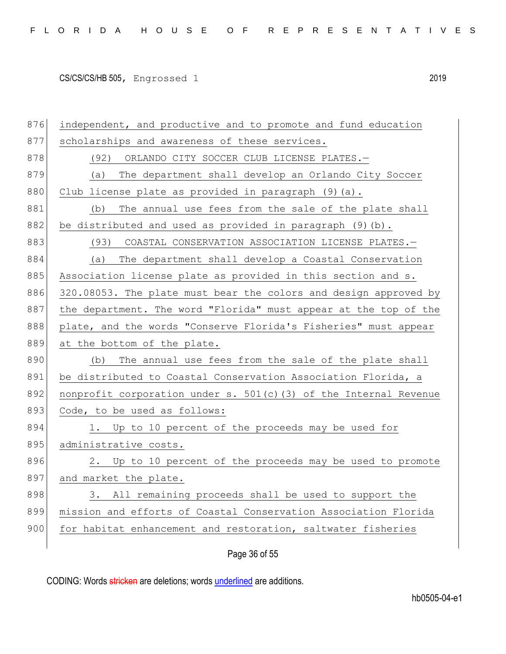876 independent, and productive and to promote and fund education 877 scholarships and awareness of these services. 878 (92) ORLANDO CITY SOCCER CLUB LICENSE PLATES. 879 (a) The department shall develop an Orlando City Soccer 880 Club license plate as provided in paragraph  $(9)(a)$ . 881 (b) The annual use fees from the sale of the plate shall 882 be distributed and used as provided in paragraph  $(9)$  (b). 883 (93) COASTAL CONSERVATION ASSOCIATION LICENSE PLATES. 884 (a) The department shall develop a Coastal Conservation 885 Association license plate as provided in this section and s. 886 320.08053. The plate must bear the colors and design approved by 887 the department. The word "Florida" must appear at the top of the 888 plate, and the words "Conserve Florida's Fisheries" must appear 889 at the bottom of the plate. 890 (b) The annual use fees from the sale of the plate shall 891 be distributed to Coastal Conservation Association Florida, a 892 nonprofit corporation under s.  $501(c)$  (3) of the Internal Revenue 893 Code, to be used as follows: 894 1. Up to 10 percent of the proceeds may be used for 895 administrative costs. 896 2. Up to 10 percent of the proceeds may be used to promote 897 and market the plate. 898 3. All remaining proceeds shall be used to support the 899 mission and efforts of Coastal Conservation Association Florida 900 for habitat enhancement and restoration, saltwater fisheries

Page 36 of 55

CODING: Words stricken are deletions; words underlined are additions.

hb0505-04-e1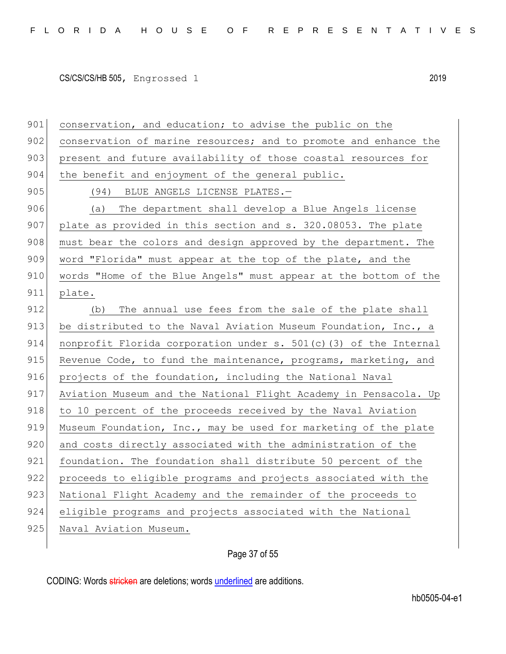901 conservation, and education; to advise the public on the 902 conservation of marine resources; and to promote and enhance the 903 present and future availability of those coastal resources for 904 the benefit and enjoyment of the general public. 905 (94) BLUE ANGELS LICENSE PLATES. 906 (a) The department shall develop a Blue Angels license 907 plate as provided in this section and s. 320.08053. The plate 908 must bear the colors and design approved by the department. The 909 word "Florida" must appear at the top of the plate, and the 910 words "Home of the Blue Angels" must appear at the bottom of the 911 plate. 912 (b) The annual use fees from the sale of the plate shall 913 be distributed to the Naval Aviation Museum Foundation, Inc., a 914 nonprofit Florida corporation under s. 501(c)(3) of the Internal 915 Revenue Code, to fund the maintenance, programs, marketing, and 916 projects of the foundation, including the National Naval 917 Aviation Museum and the National Flight Academy in Pensacola. Up 918 to 10 percent of the proceeds received by the Naval Aviation 919 Museum Foundation, Inc., may be used for marketing of the plate 920 and costs directly associated with the administration of the 921 foundation. The foundation shall distribute 50 percent of the 922 proceeds to eligible programs and projects associated with the 923 National Flight Academy and the remainder of the proceeds to 924 eligible programs and projects associated with the National 925 Naval Aviation Museum.

Page 37 of 55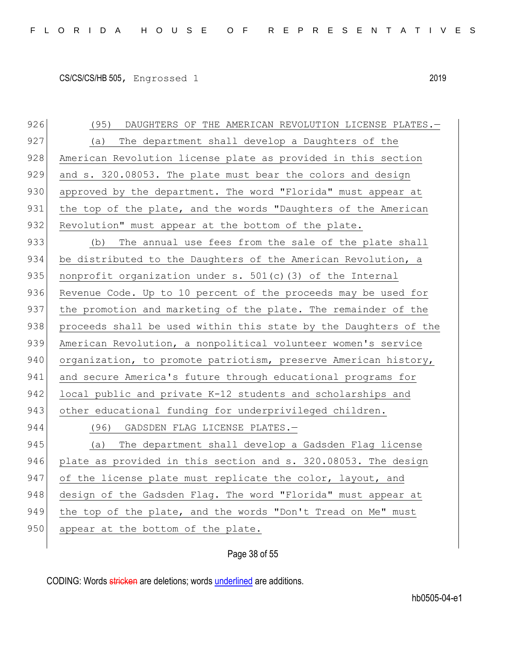926 (95) DAUGHTERS OF THE AMERICAN REVOLUTION LICENSE PLATES. 927 (a) The department shall develop a Daughters of the 928 American Revolution license plate as provided in this section 929 and s. 320.08053. The plate must bear the colors and design 930 approved by the department. The word "Florida" must appear at 931 the top of the plate, and the words "Daughters of the American 932 Revolution" must appear at the bottom of the plate. 933 (b) The annual use fees from the sale of the plate shall 934 be distributed to the Daughters of the American Revolution, a 935 | nonprofit organization under s.  $501(c)$  (3) of the Internal 936 Revenue Code. Up to 10 percent of the proceeds may be used for 937 the promotion and marketing of the plate. The remainder of the 938 proceeds shall be used within this state by the Daughters of the 939 American Revolution, a nonpolitical volunteer women's service 940 organization, to promote patriotism, preserve American history, 941 and secure America's future through educational programs for 942 local public and private K-12 students and scholarships and 943 other educational funding for underprivileged children. 944 (96) GADSDEN FLAG LICENSE PLATES.-945 (a) The department shall develop a Gadsden Flag license 946 plate as provided in this section and s. 320.08053. The design 947 of the license plate must replicate the color, layout, and 948 design of the Gadsden Flag. The word "Florida" must appear at 949 the top of the plate, and the words "Don't Tread on Me" must

950 appear at the bottom of the plate.

### Page 38 of 55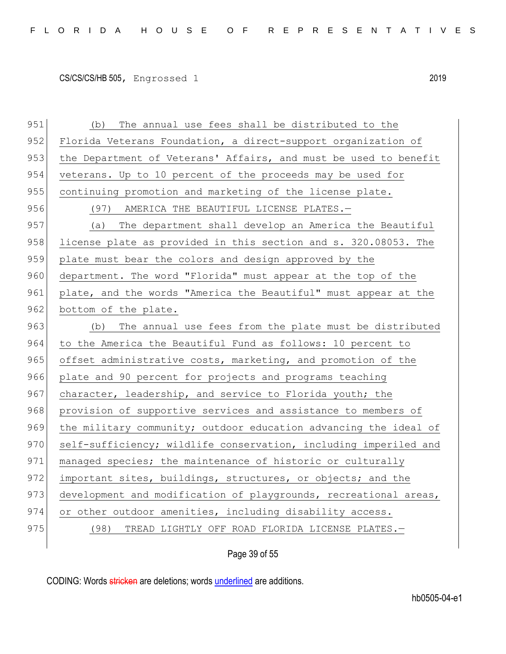951 (b) The annual use fees shall be distributed to the 952 Florida Veterans Foundation, a direct-support organization of 953 the Department of Veterans' Affairs, and must be used to benefit 954 veterans. Up to 10 percent of the proceeds may be used for 955 continuing promotion and marketing of the license plate. 956 (97) AMERICA THE BEAUTIFUL LICENSE PLATES. 957 (a) The department shall develop an America the Beautiful 958 license plate as provided in this section and s. 320.08053. The 959 plate must bear the colors and design approved by the 960 department. The word "Florida" must appear at the top of the 961 plate, and the words "America the Beautiful" must appear at the 962 bottom of the plate. 963 (b) The annual use fees from the plate must be distributed 964 to the America the Beautiful Fund as follows: 10 percent to 965 offset administrative costs, marketing, and promotion of the 966 plate and 90 percent for projects and programs teaching 967 character, leadership, and service to Florida youth; the 968 provision of supportive services and assistance to members of 969 the military community; outdoor education advancing the ideal of 970 self-sufficiency; wildlife conservation, including imperiled and 971 managed species; the maintenance of historic or culturally 972 important sites, buildings, structures, or objects; and the 973 development and modification of playgrounds, recreational areas, 974 or other outdoor amenities, including disability access. 975 (98) TREAD LIGHTLY OFF ROAD FLORIDA LICENSE PLATES.

Page 39 of 55

CODING: Words stricken are deletions; words underlined are additions.

hb0505-04-e1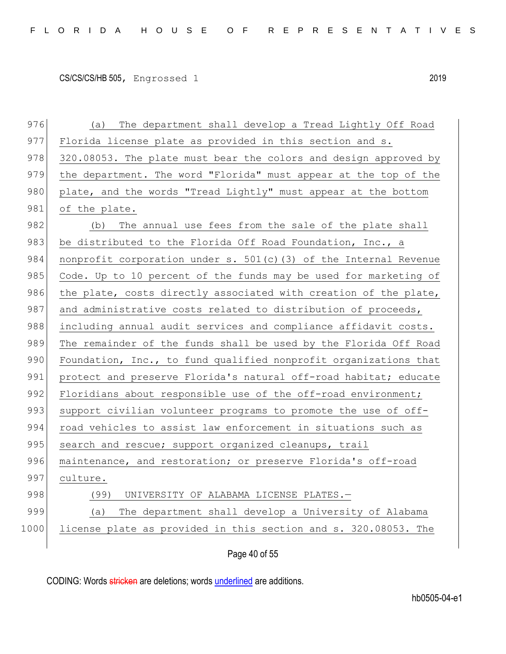976 (a) The department shall develop a Tread Lightly Off Road 977 Florida license plate as provided in this section and s. 978 320.08053. The plate must bear the colors and design approved by 979 the department. The word "Florida" must appear at the top of the 980 plate, and the words "Tread Lightly" must appear at the bottom 981 of the plate. 982 (b) The annual use fees from the sale of the plate shall 983 be distributed to the Florida Off Road Foundation, Inc., a 984 nonprofit corporation under s. 501(c)(3) of the Internal Revenue 985 Code. Up to 10 percent of the funds may be used for marketing of 986 the plate, costs directly associated with creation of the plate, 987 and administrative costs related to distribution of proceeds, 988 including annual audit services and compliance affidavit costs. 989 The remainder of the funds shall be used by the Florida Off Road 990 Foundation, Inc., to fund qualified nonprofit organizations that 991 protect and preserve Florida's natural off-road habitat; educate 992 Floridians about responsible use of the off-road environment; 993 support civilian volunteer programs to promote the use of off-994 road vehicles to assist law enforcement in situations such as 995 search and rescue; support organized cleanups, trail 996 maintenance, and restoration; or preserve Florida's off-road 997 culture. 998 (99) UNIVERSITY OF ALABAMA LICENSE PLATES. 999 (a) The department shall develop a University of Alabama 1000 license plate as provided in this section and s. 320.08053. The

Page 40 of 55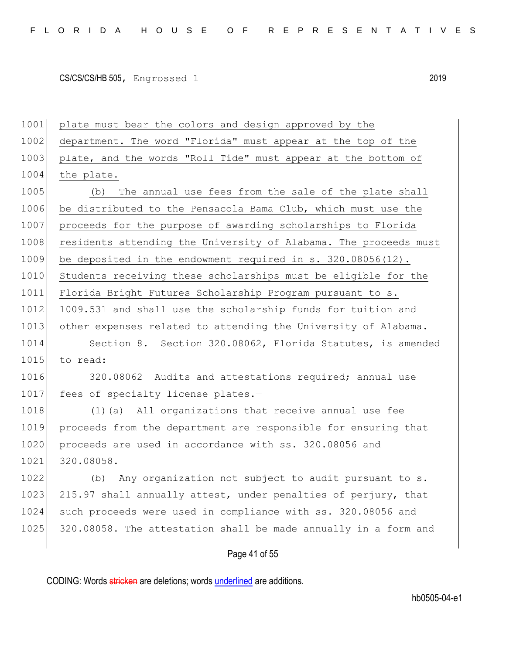1001 plate must bear the colors and design approved by the 1002 department. The word "Florida" must appear at the top of the 1003 plate, and the words "Roll Tide" must appear at the bottom of 1004 the plate. 1005 (b) The annual use fees from the sale of the plate shall 1006 be distributed to the Pensacola Bama Club, which must use the 1007 proceeds for the purpose of awarding scholarships to Florida 1008 residents attending the University of Alabama. The proceeds must 1009 be deposited in the endowment required in s. 320.08056(12). 1010 Students receiving these scholarships must be eligible for the 1011 Florida Bright Futures Scholarship Program pursuant to s. 1012 1009.531 and shall use the scholarship funds for tuition and 1013 other expenses related to attending the University of Alabama. 1014 Section 8. Section 320.08062, Florida Statutes, is amended 1015 to read: 1016 320.08062 Audits and attestations required; annual use 1017 fees of specialty license plates.-1018 (1)(a) All organizations that receive annual use fee 1019 proceeds from the department are responsible for ensuring that 1020 proceeds are used in accordance with ss. 320.08056 and 1021 320.08058. 1022 (b) Any organization not subject to audit pursuant to s. 1023 215.97 shall annually attest, under penalties of perjury, that 1024 such proceeds were used in compliance with ss. 320.08056 and 1025 320.08058. The attestation shall be made annually in a form and

### Page 41 of 55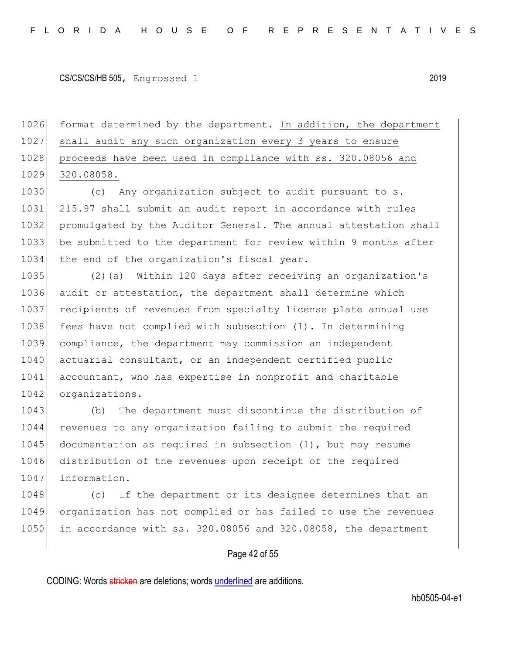1026 format determined by the department. In addition, the department 1027 shall audit any such organization every 3 years to ensure 1028 proceeds have been used in compliance with ss. 320.08056 and 1029 320.08058.

1030 (c) Any organization subject to audit pursuant to s. 1031 215.97 shall submit an audit report in accordance with rules 1032 promulgated by the Auditor General. The annual attestation shall 1033 be submitted to the department for review within 9 months after 1034 the end of the organization's fiscal year.

1035 (2)(a) Within 120 days after receiving an organization's 1036 audit or attestation, the department shall determine which 1037 recipients of revenues from specialty license plate annual use 1038 fees have not complied with subsection (1). In determining 1039 compliance, the department may commission an independent 1040 actuarial consultant, or an independent certified public 1041 accountant, who has expertise in nonprofit and charitable 1042 organizations.

1043 (b) The department must discontinue the distribution of 1044 revenues to any organization failing to submit the required 1045 documentation as required in subsection  $(1)$ , but may resume 1046 distribution of the revenues upon receipt of the required 1047 information.

1048 (c) If the department or its designee determines that an 1049 organization has not complied or has failed to use the revenues 1050 in accordance with ss. 320.08056 and 320.08058, the department

#### Page 42 of 55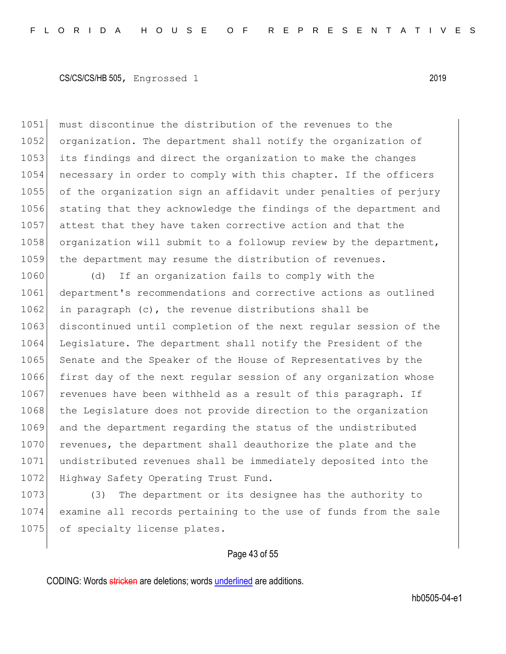must discontinue the distribution of the revenues to the 1052 organization. The department shall notify the organization of its findings and direct the organization to make the changes necessary in order to comply with this chapter. If the officers of the organization sign an affidavit under penalties of perjury stating that they acknowledge the findings of the department and attest that they have taken corrective action and that the 1058 organization will submit to a followup review by the department, 1059 the department may resume the distribution of revenues.

1060 (d) If an organization fails to comply with the 1061 department's recommendations and corrective actions as outlined 1062 in paragraph (c), the revenue distributions shall be 1063 discontinued until completion of the next regular session of the 1064 Legislature. The department shall notify the President of the 1065 Senate and the Speaker of the House of Representatives by the 1066 first day of the next regular session of any organization whose 1067 revenues have been withheld as a result of this paragraph. If 1068 the Legislature does not provide direction to the organization 1069 and the department regarding the status of the undistributed 1070 revenues, the department shall deauthorize the plate and the 1071 undistributed revenues shall be immediately deposited into the 1072 Highway Safety Operating Trust Fund.

1073 (3) The department or its designee has the authority to 1074 examine all records pertaining to the use of funds from the sale 1075 of specialty license plates.

#### Page 43 of 55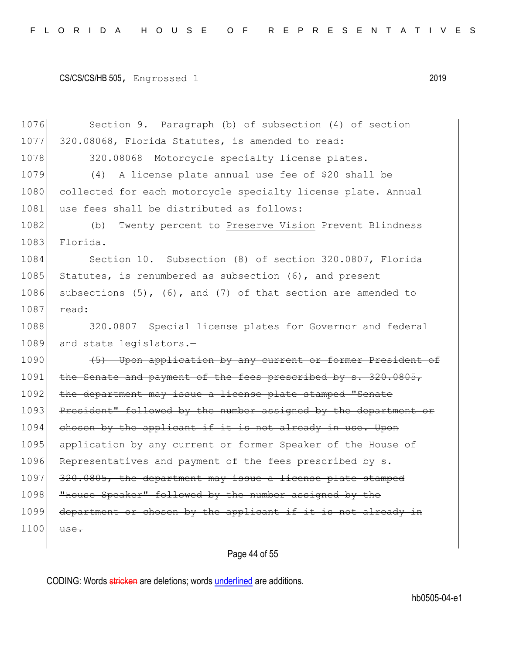1076 Section 9. Paragraph (b) of subsection (4) of section 1077 320.08068, Florida Statutes, is amended to read: 1078 320.08068 Motorcycle specialty license plates. 1079 (4) A license plate annual use fee of \$20 shall be 1080 collected for each motorcycle specialty license plate. Annual 1081 use fees shall be distributed as follows: 1082 (b) Twenty percent to Preserve Vision Prevent Blindness 1083 Florida. 1084 Section 10. Subsection (8) of section 320.0807, Florida 1085 Statutes, is renumbered as subsection  $(6)$ , and present 1086 subsections  $(5)$ ,  $(6)$ , and  $(7)$  of that section are amended to 1087 read: 1088 320.0807 Special license plates for Governor and federal 1089 and state legislators.-1090 (5) Upon application by any current or former President of 1091 the Senate and payment of the fees prescribed by s. 320.0805, 1092 the department may issue a license plate stamped "Senate 1093 President" followed by the number assigned by the department or  $1094$  chosen by the applicant if it is not already in use. Upon 1095 application by any current or former Speaker of the House of 1096 Representatives and payment of the fees prescribed by s. 1097 320.0805, the department may issue a license plate stamped 1098 **"House Speaker" followed by the number assigned by the** 1099 department or chosen by the applicant if it is not already in  $1100$  use.

Page 44 of 55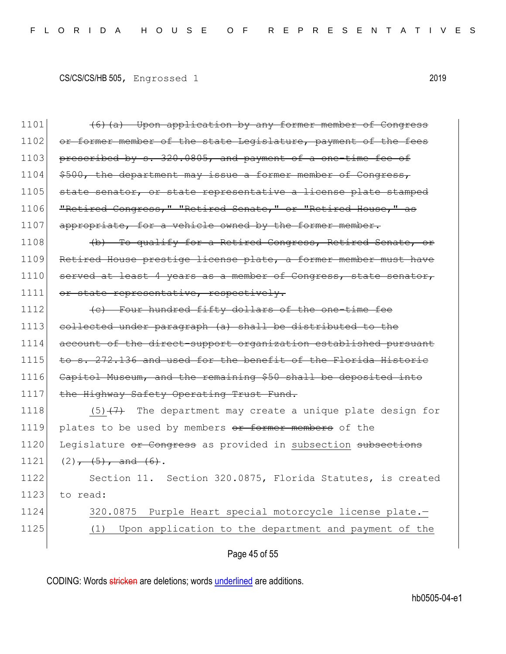| 1101 | (6) (a) Upon application by any former member of Congress          |
|------|--------------------------------------------------------------------|
| 1102 | or former member of the state Legislature, payment of the fees     |
| 1103 | prescribed by s. 320.0805, and payment of a one-time fee of        |
| 1104 | \$500, the department may issue a former member of Congress,       |
| 1105 | state senator, or state representative a license plate stamped     |
| 1106 | "Retired Congress," "Retired Senate," or "Retired House," as       |
| 1107 | appropriate, for a vehicle owned by the former member.             |
| 1108 | (b) To qualify for a Retired Congress, Retired Senate, or          |
| 1109 | Retired House prestige license plate, a former member must have    |
| 1110 | served at least 4 years as a member of Congress, state senator,    |
| 1111 | or state representative, respectively.                             |
| 1112 | (e) Four hundred fifty dollars of the one-time fee                 |
| 1113 | collected under paragraph (a) shall be distributed to the          |
| 1114 | account of the direct-support organization established pursuant    |
| 1115 | to s. 272.136 and used for the benefit of the Florida Historic     |
| 1116 | Capitol Museum, and the remaining \$50 shall be deposited into     |
| 1117 | the Highway Safety Operating Trust Fund.                           |
| 1118 | The department may create a unique plate design for<br>$(5)$ $(7)$ |
| 1119 | plates to be used by members or former members of the              |
| 1120 | Legislature or Congress as provided in subsection subsections      |
| 1121 | $(2)$ , $(5)$ , and $(6)$ .                                        |
| 1122 | Section 11. Section 320.0875, Florida Statutes, is created         |
| 1123 | to read:                                                           |
| 1124 | Purple Heart special motorcycle license plate.-<br>320.0875        |
| 1125 | Upon application to the department and payment of the<br>(1)       |
|      |                                                                    |

# Page 45 of 55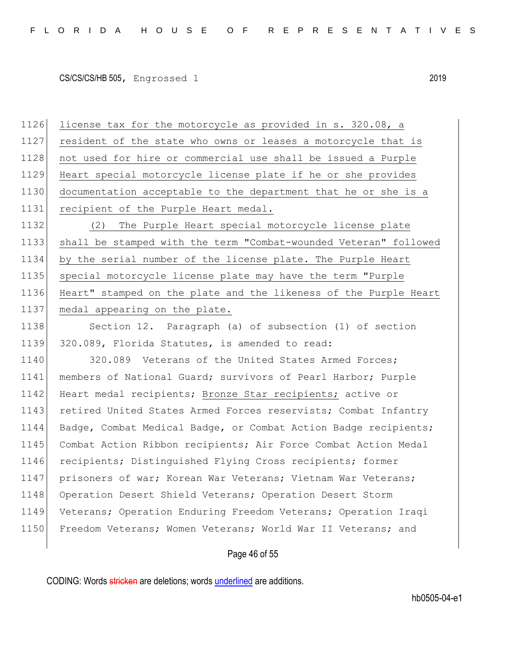1126 license tax for the motorcycle as provided in s. 320.08, a 1127 resident of the state who owns or leases a motorcycle that is 1128 not used for hire or commercial use shall be issued a Purple Heart special motorcycle license plate if he or she provides documentation acceptable to the department that he or she is a recipient of the Purple Heart medal. (2) The Purple Heart special motorcycle license plate shall be stamped with the term "Combat-wounded Veteran" followed by the serial number of the license plate. The Purple Heart special motorcycle license plate may have the term "Purple Heart" stamped on the plate and the likeness of the Purple Heart 1137 medal appearing on the plate.

1138 Section 12. Paragraph (a) of subsection (1) of section 1139 320.089, Florida Statutes, is amended to read:

1140 320.089 Veterans of the United States Armed Forces; 1141 members of National Guard; survivors of Pearl Harbor; Purple 1142 Heart medal recipients; Bronze Star recipients; active or 1143 retired United States Armed Forces reservists; Combat Infantry 1144 Badge, Combat Medical Badge, or Combat Action Badge recipients; 1145 Combat Action Ribbon recipients; Air Force Combat Action Medal 1146 recipients; Distinguished Flying Cross recipients; former 1147 prisoners of war; Korean War Veterans; Vietnam War Veterans; 1148 Operation Desert Shield Veterans; Operation Desert Storm 1149 Veterans; Operation Enduring Freedom Veterans; Operation Iraqi 1150 Freedom Veterans; Women Veterans; World War II Veterans; and

#### Page 46 of 55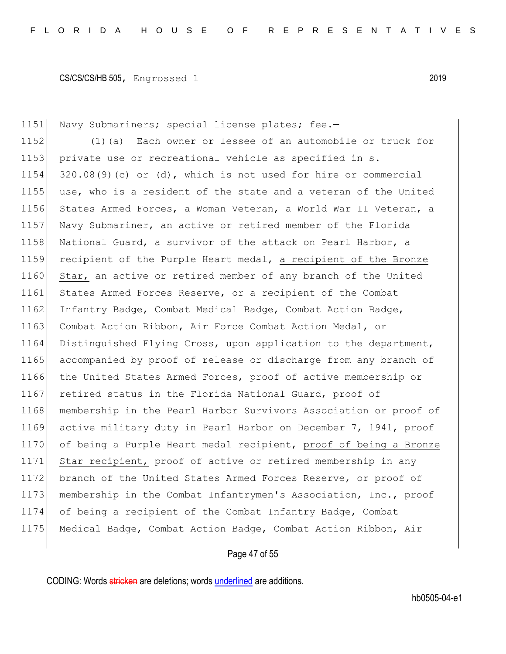1151 Navy Submariners; special license plates; fee.-

1152 (1)(a) Each owner or lessee of an automobile or truck for 1153 private use or recreational vehicle as specified in s. 1154 320.08(9)(c) or (d), which is not used for hire or commercial 1155 use, who is a resident of the state and a veteran of the United 1156 States Armed Forces, a Woman Veteran, a World War II Veteran, a 1157 Navy Submariner, an active or retired member of the Florida 1158 National Guard, a survivor of the attack on Pearl Harbor, a 1159 recipient of the Purple Heart medal, a recipient of the Bronze 1160 Star, an active or retired member of any branch of the United 1161 States Armed Forces Reserve, or a recipient of the Combat 1162 Infantry Badge, Combat Medical Badge, Combat Action Badge, 1163 Combat Action Ribbon, Air Force Combat Action Medal, or 1164 Distinguished Flying Cross, upon application to the department, 1165 accompanied by proof of release or discharge from any branch of 1166 the United States Armed Forces, proof of active membership or 1167 retired status in the Florida National Guard, proof of 1168 membership in the Pearl Harbor Survivors Association or proof of 1169 active military duty in Pearl Harbor on December 7, 1941, proof 1170 of being a Purple Heart medal recipient, proof of being a Bronze 1171 Star recipient, proof of active or retired membership in any 1172 branch of the United States Armed Forces Reserve, or proof of 1173 membership in the Combat Infantrymen's Association, Inc., proof 1174 of being a recipient of the Combat Infantry Badge, Combat 1175 Medical Badge, Combat Action Badge, Combat Action Ribbon, Air

### Page 47 of 55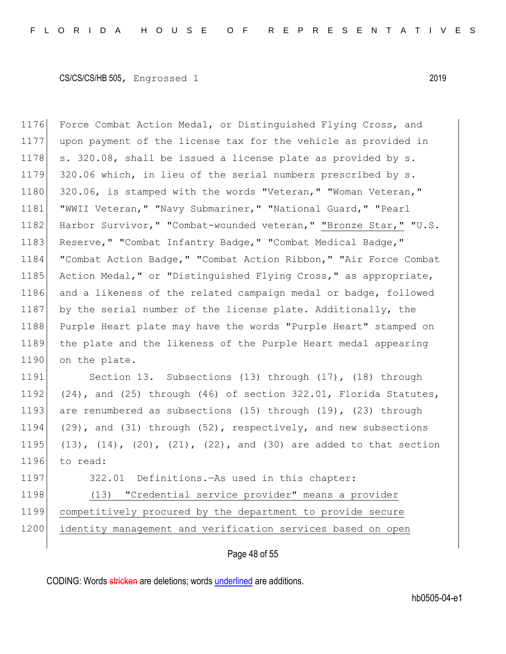1176 Force Combat Action Medal, or Distinguished Flying Cross, and 1177 upon payment of the license tax for the vehicle as provided in 1178  $\vert$  s. 320.08, shall be issued a license plate as provided by s. 1179 320.06 which, in lieu of the serial numbers prescribed by s. 1180 320.06, is stamped with the words "Veteran," "Woman Veteran," 1181 | "WWII Veteran," "Navy Submariner," "National Guard," "Pearl 1182 Harbor Survivor," "Combat-wounded veteran," "Bronze Star," "U.S. 1183 Reserve, " "Combat Infantry Badge, " "Combat Medical Badge, " 1184 "Combat Action Badge," "Combat Action Ribbon," "Air Force Combat 1185 Action Medal," or "Distinguished Flying Cross," as appropriate, 1186 and a likeness of the related campaign medal or badge, followed 1187 by the serial number of the license plate. Additionally, the 1188 Purple Heart plate may have the words "Purple Heart" stamped on 1189 the plate and the likeness of the Purple Heart medal appearing 1190 on the plate.

1191 Section 13. Subsections (13) through (17), (18) through 1192 (24), and (25) through (46) of section 322.01, Florida Statutes, 1193 are renumbered as subsections (15) through (19), (23) through 1194 (29), and (31) through (52), respectively, and new subsections 1195 (13),  $(14)$ ,  $(20)$ ,  $(21)$ ,  $(22)$ , and  $(30)$  are added to that section 1196 to read:

1197 322.01 Definitions.—As used in this chapter:

1198 (13) "Credential service provider" means a provider 1199 competitively procured by the department to provide secure 1200 identity management and verification services based on open

#### Page 48 of 55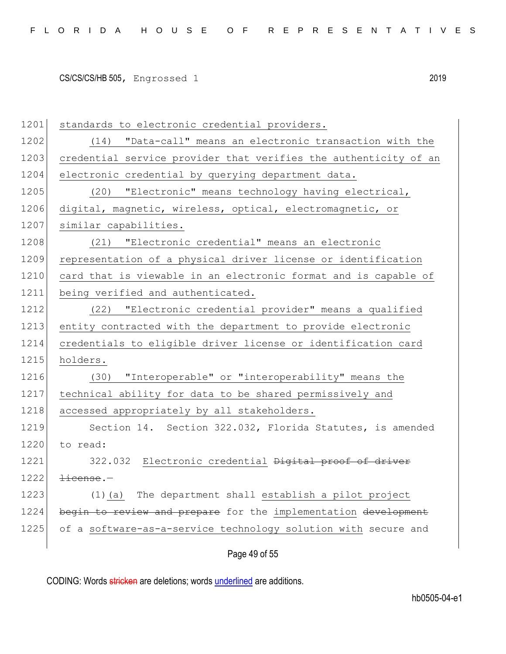1201 standards to electronic credential providers. 1202 (14) "Data-call" means an electronic transaction with the 1203 credential service provider that verifies the authenticity of an 1204 electronic credential by querying department data. 1205 (20) "Electronic" means technology having electrical, 1206 digital, magnetic, wireless, optical, electromagnetic, or 1207 similar capabilities. 1208 (21) "Electronic credential" means an electronic 1209 representation of a physical driver license or identification 1210 card that is viewable in an electronic format and is capable of 1211 being verified and authenticated. 1212 (22) "Electronic credential provider" means a qualified 1213 entity contracted with the department to provide electronic 1214 credentials to eligible driver license or identification card 1215 holders. 1216 (30) "Interoperable" or "interoperability" means the 1217 technical ability for data to be shared permissively and 1218 accessed appropriately by all stakeholders. 1219 Section 14. Section 322.032, Florida Statutes, is amended 1220 to read: 1221 322.032 Electronic credential Digital proof of driver 1222 license.— 1223 (1)(a) The department shall establish a pilot project 1224 begin to review and prepare for the implementation development 1225 of a software-as-a-service technology solution with secure and

### Page 49 of 55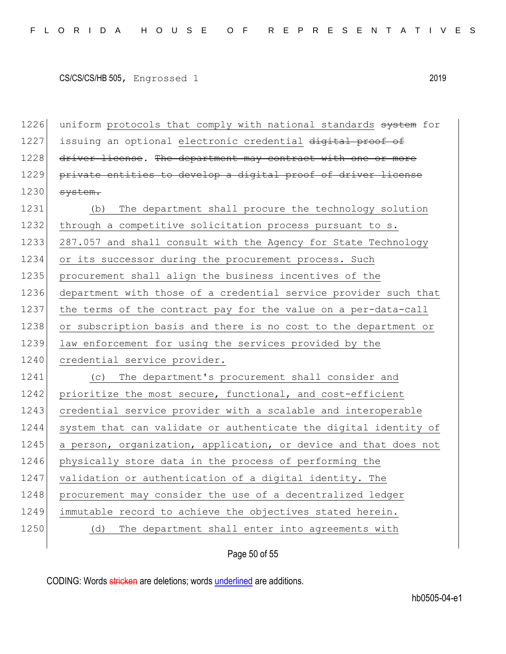1226 uniform protocols that comply with national standards system for 1227 issuing an optional electronic credential digital proof of 1228 driver license. The department may contract with one or more 1229 private entities to develop a digital proof of driver license  $1230$  system.

1231 (b) The department shall procure the technology solution 1232 through a competitive solicitation process pursuant to s. 1233 287.057 and shall consult with the Agency for State Technology 1234 or its successor during the procurement process. Such 1235 | procurement shall align the business incentives of the 1236 department with those of a credential service provider such that 1237 the terms of the contract pay for the value on a per-data-call 1238 or subscription basis and there is no cost to the department or 1239 law enforcement for using the services provided by the 1240 credential service provider. 1241 (c) The department's procurement shall consider and 1242 prioritize the most secure, functional, and cost-efficient 1243 credential service provider with a scalable and interoperable 1244 system that can validate or authenticate the digital identity of 1245 a person, organization, application, or device and that does not

1246 physically store data in the process of performing the 1247 validation or authentication of a digital identity. The

1248 procurement may consider the use of a decentralized ledger

1249 immutable record to achieve the objectives stated herein.

1250 (d) The department shall enter into agreements with

Page 50 of 55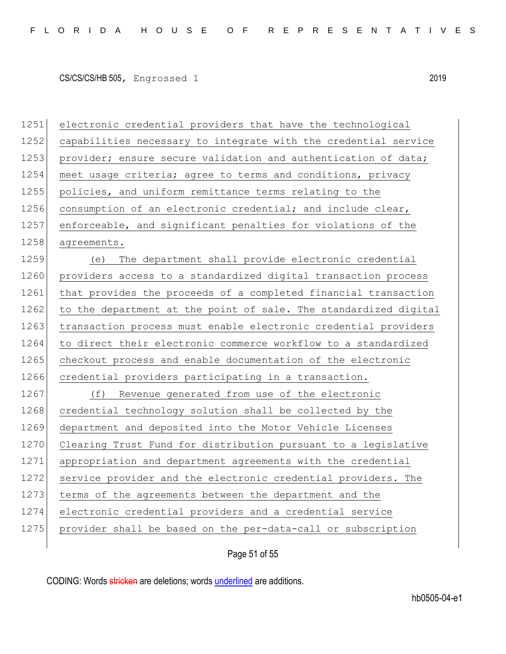1251 electronic credential providers that have the technological 1252 capabilities necessary to integrate with the credential service 1253 provider; ensure secure validation and authentication of data; 1254 meet usage criteria; agree to terms and conditions, privacy 1255 policies, and uniform remittance terms relating to the 1256 consumption of an electronic credential; and include clear, 1257 enforceable, and significant penalties for violations of the 1258 agreements. 1259 (e) The department shall provide electronic credential 1260 providers access to a standardized digital transaction process 1261 that provides the proceeds of a completed financial transaction 1262 to the department at the point of sale. The standardized digital 1263 transaction process must enable electronic credential providers 1264 to direct their electronic commerce workflow to a standardized 1265 checkout process and enable documentation of the electronic 1266 credential providers participating in a transaction. 1267 (f) Revenue generated from use of the electronic 1268 credential technology solution shall be collected by the 1269 department and deposited into the Motor Vehicle Licenses 1270 Clearing Trust Fund for distribution pursuant to a legislative 1271 appropriation and department agreements with the credential 1272 service provider and the electronic credential providers. The 1273 terms of the agreements between the department and the 1274 electronic credential providers and a credential service 1275 provider shall be based on the per-data-call or subscription

Page 51 of 55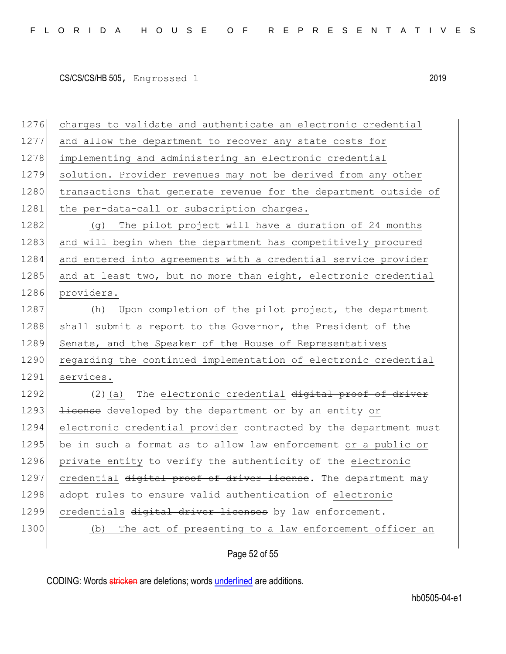| 1276 | charges to validate and authenticate an electronic credential    |
|------|------------------------------------------------------------------|
| 1277 | and allow the department to recover any state costs for          |
| 1278 | implementing and administering an electronic credential          |
| 1279 | solution. Provider revenues may not be derived from any other    |
| 1280 | transactions that generate revenue for the department outside of |
| 1281 | the per-data-call or subscription charges.                       |
| 1282 | (g) The pilot project will have a duration of 24 months          |
| 1283 | and will begin when the department has competitively procured    |
| 1284 | and entered into agreements with a credential service provider   |
| 1285 | and at least two, but no more than eight, electronic credential  |
| 1286 | providers.                                                       |
| 1287 | Upon completion of the pilot project, the department<br>(h)      |
| 1288 | shall submit a report to the Governor, the President of the      |
| 1289 | Senate, and the Speaker of the House of Representatives          |
| 1290 | regarding the continued implementation of electronic credential  |
| 1291 | services.                                                        |
| 1292 | (2) (a) The electronic credential digital proof of driver        |
| 1293 | <i>license</i> developed by the department or by an entity or    |
| 1294 | electronic credential provider contracted by the department must |
| 1295 | be in such a format as to allow law enforcement or a public or   |
| 1296 | private entity to verify the authenticity of the electronic      |
| 1297 | credential digital proof of driver license. The department may   |
| 1298 | adopt rules to ensure valid authentication of electronic         |
| 1299 | credentials digital driver licenses by law enforcement.          |
| 1300 | The act of presenting to a law enforcement officer an<br>(b)     |
|      |                                                                  |

Page 52 of 55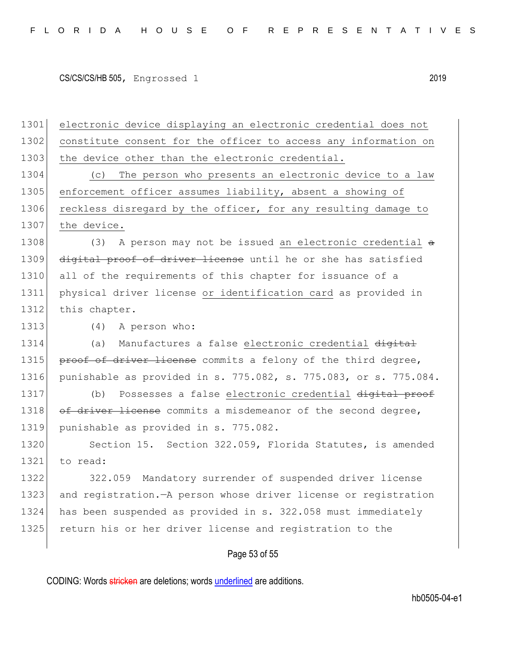1301 electronic device displaying an electronic credential does not 1302 constitute consent for the officer to access any information on 1303 the device other than the electronic credential. 1304 (c) The person who presents an electronic device to a law 1305 enforcement officer assumes liability, absent a showing of 1306 reckless disregard by the officer, for any resulting damage to 1307 the device. 1308 (3) A person may not be issued an electronic credential  $\theta$ 1309 digital proof of driver license until he or she has satisfied 1310 all of the requirements of this chapter for issuance of a 1311 physical driver license or identification card as provided in 1312 this chapter. 1313 (4) A person who: 1314 (a) Manufactures a false electronic credential digital 1315 proof of driver license commits a felony of the third degree, 1316 punishable as provided in s. 775.082, s. 775.083, or s. 775.084. 1317 (b) Possesses a false electronic credential digital proof 1318 of driver license commits a misdemeanor of the second degree, 1319 punishable as provided in s. 775.082. 1320 Section 15. Section 322.059, Florida Statutes, is amended 1321 to read: 1322 322.059 Mandatory surrender of suspended driver license 1323 and registration.—A person whose driver license or registration 1324 has been suspended as provided in s. 322.058 must immediately 1325 return his or her driver license and registration to the

#### Page 53 of 55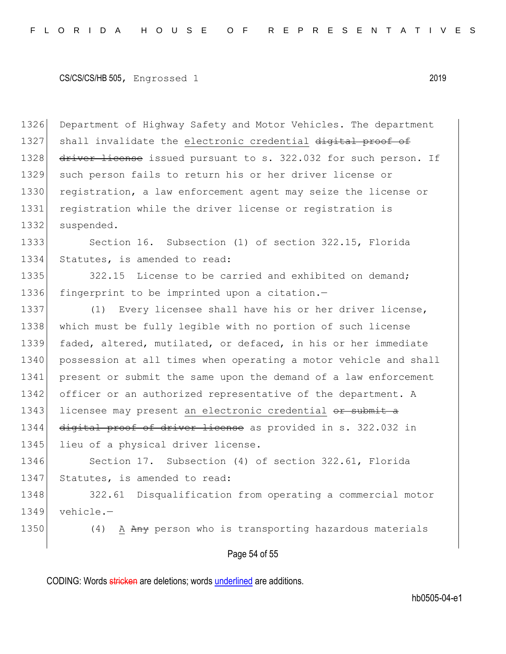1326 Department of Highway Safety and Motor Vehicles. The department 1327 shall invalidate the electronic credential digital proof of 1328 driver license issued pursuant to s. 322.032 for such person. If 1329 such person fails to return his or her driver license or 1330 registration, a law enforcement agent may seize the license or 1331 registration while the driver license or registration is 1332 suspended.

1333 Section 16. Subsection (1) of section 322.15, Florida 1334 Statutes, is amended to read:

1335 322.15 License to be carried and exhibited on demand; 1336 fingerprint to be imprinted upon a citation.-

1337 (1) Every licensee shall have his or her driver license, 1338 which must be fully legible with no portion of such license 1339 faded, altered, mutilated, or defaced, in his or her immediate 1340 possession at all times when operating a motor vehicle and shall 1341 present or submit the same upon the demand of a law enforcement 1342 officer or an authorized representative of the department. A 1343 licensee may present an electronic credential or submit a 1344 digital proof of driver license as provided in s. 322.032 in 1345 lieu of a physical driver license.

1346 Section 17. Subsection (4) of section 322.61, Florida 1347 Statutes, is amended to read:

1348 322.61 Disqualification from operating a commercial motor 1349 vehicle.—

1350 (4) A Any person who is transporting hazardous materials

#### Page 54 of 55